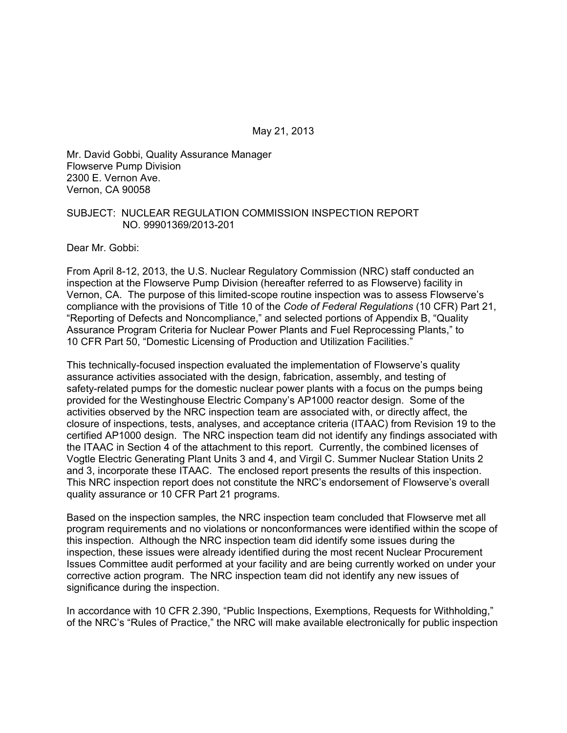May 21, 2013

Mr. David Gobbi, Quality Assurance Manager Flowserve Pump Division 2300 E. Vernon Ave. Vernon, CA 90058

#### SUBJECT: NUCLEAR REGULATION COMMISSION INSPECTION REPORT NO. 99901369/2013-201

Dear Mr. Gobbi:

From April 8-12, 2013, the U.S. Nuclear Regulatory Commission (NRC) staff conducted an inspection at the Flowserve Pump Division (hereafter referred to as Flowserve) facility in Vernon, CA. The purpose of this limited-scope routine inspection was to assess Flowserve's compliance with the provisions of Title 10 of the *Code of Federal Regulations* (10 CFR) Part 21, "Reporting of Defects and Noncompliance," and selected portions of Appendix B, "Quality Assurance Program Criteria for Nuclear Power Plants and Fuel Reprocessing Plants," to 10 CFR Part 50, "Domestic Licensing of Production and Utilization Facilities."

This technically-focused inspection evaluated the implementation of Flowserve's quality assurance activities associated with the design, fabrication, assembly, and testing of safety-related pumps for the domestic nuclear power plants with a focus on the pumps being provided for the Westinghouse Electric Company's AP1000 reactor design. Some of the activities observed by the NRC inspection team are associated with, or directly affect, the closure of inspections, tests, analyses, and acceptance criteria (ITAAC) from Revision 19 to the certified AP1000 design. The NRC inspection team did not identify any findings associated with the ITAAC in Section 4 of the attachment to this report. Currently, the combined licenses of Vogtle Electric Generating Plant Units 3 and 4, and Virgil C. Summer Nuclear Station Units 2 and 3, incorporate these ITAAC. The enclosed report presents the results of this inspection. This NRC inspection report does not constitute the NRC's endorsement of Flowserve's overall quality assurance or 10 CFR Part 21 programs.

Based on the inspection samples, the NRC inspection team concluded that Flowserve met all program requirements and no violations or nonconformances were identified within the scope of this inspection. Although the NRC inspection team did identify some issues during the inspection, these issues were already identified during the most recent Nuclear Procurement Issues Committee audit performed at your facility and are being currently worked on under your corrective action program. The NRC inspection team did not identify any new issues of significance during the inspection.

In accordance with 10 CFR 2.390, "Public Inspections, Exemptions, Requests for Withholding," of the NRC's "Rules of Practice," the NRC will make available electronically for public inspection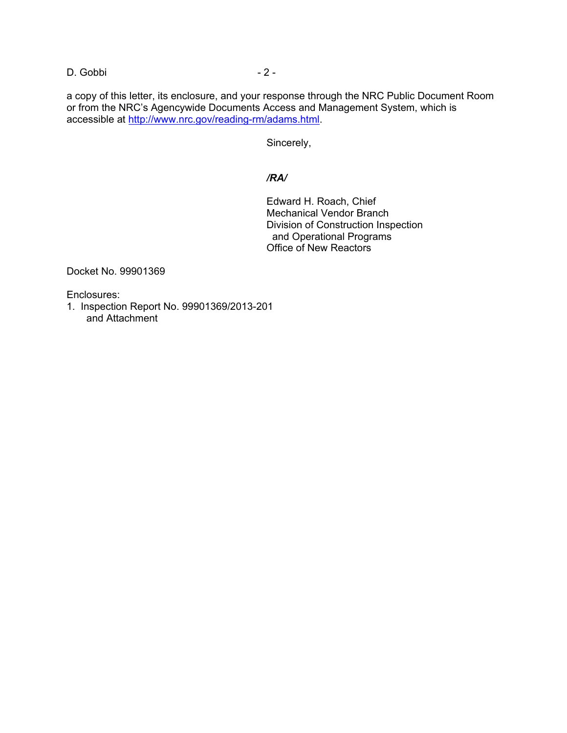D. Gobbi - 2 -

a copy of this letter, its enclosure, and your response through the NRC Public Document Room or from the NRC's Agencywide Documents Access and Management System, which is accessible at http://www.nrc.gov/reading-rm/adams.html.

Sincerely,

## */RA/*

Edward H. Roach, Chief Mechanical Vendor Branch Division of Construction Inspection and Operational Programs Office of New Reactors

Docket No. 99901369

Enclosures:

1. Inspection Report No. 99901369/2013-201 and Attachment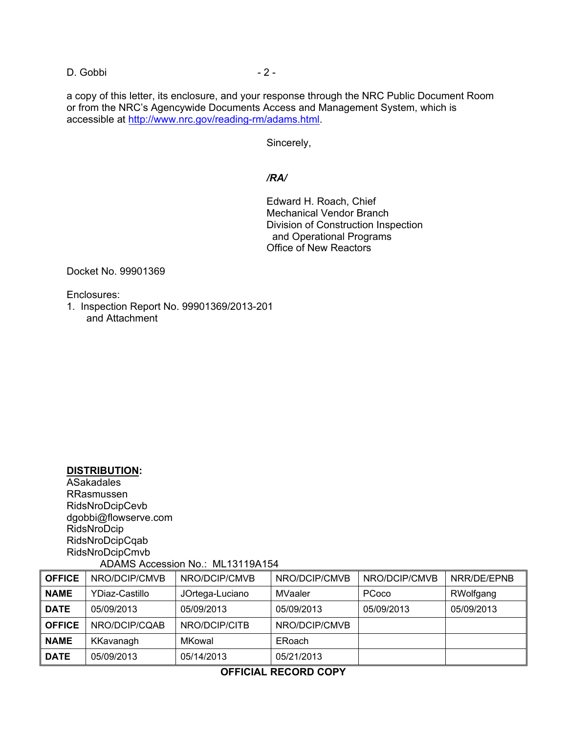D. Gobbi - 2 -

a copy of this letter, its enclosure, and your response through the NRC Public Document Room or from the NRC's Agencywide Documents Access and Management System, which is accessible at http://www.nrc.gov/reading-rm/adams.html.

Sincerely,

## */RA/*

Edward H. Roach, Chief Mechanical Vendor Branch Division of Construction Inspection and Operational Programs Office of New Reactors

Docket No. 99901369

Enclosures:

1. Inspection Report No. 99901369/2013-201 and Attachment

# **DISTRIBUTION:**

ASakadales RRasmussen RidsNroDcipCevb dgobbi@flowserve.com RidsNroDcip RidsNroDcipCqab RidsNroDcipCmvb ADAMS Accession No.: ML13119A154

| <b>OFFICE</b> | NRO/DCIP/CMVB  | NRO/DCIP/CMVB   | NRO/DCIP/CMVB | NRO/DCIP/CMVB | NRR/DE/EPNB |
|---------------|----------------|-----------------|---------------|---------------|-------------|
| <b>NAME</b>   | YDiaz-Castillo | JOrtega-Luciano | MVaaler       | PCoco         | RWolfgang   |
| <b>DATE</b>   | 05/09/2013     | 05/09/2013      | 05/09/2013    | 05/09/2013    | 05/09/2013  |
| <b>OFFICE</b> | NRO/DCIP/CQAB  | NRO/DCIP/CITB   | NRO/DCIP/CMVB |               |             |
| <b>NAME</b>   | KKavanagh      | MKowal          | ERoach        |               |             |
| <b>DATE</b>   | 05/09/2013     | 05/14/2013      | 05/21/2013    |               |             |

### **OFFICIAL RECORD COPY**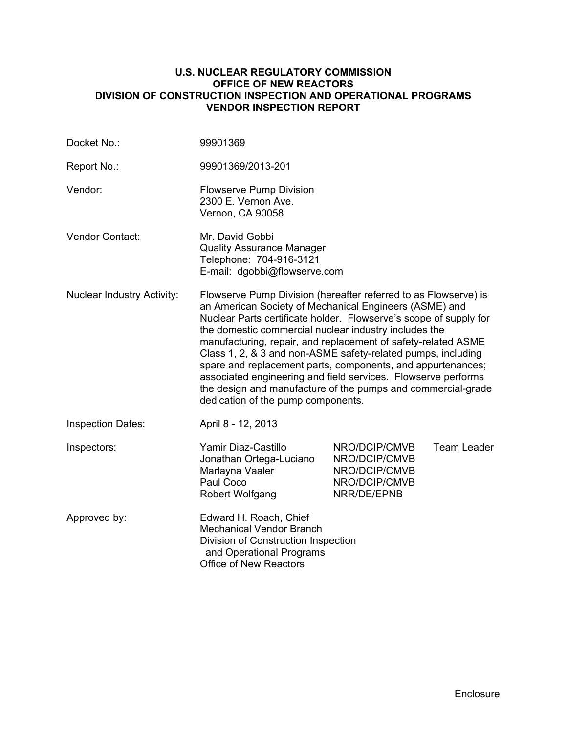#### **U.S. NUCLEAR REGULATORY COMMISSION OFFICE OF NEW REACTORS DIVISION OF CONSTRUCTION INSPECTION AND OPERATIONAL PROGRAMS VENDOR INSPECTION REPORT**

| Docket No.:                       | 99901369                                                                                                                                                                                                                                                                                                                                                                                                                                                                                                                                                                                                                       |                                                                                 |                    |
|-----------------------------------|--------------------------------------------------------------------------------------------------------------------------------------------------------------------------------------------------------------------------------------------------------------------------------------------------------------------------------------------------------------------------------------------------------------------------------------------------------------------------------------------------------------------------------------------------------------------------------------------------------------------------------|---------------------------------------------------------------------------------|--------------------|
| Report No.:                       | 99901369/2013-201                                                                                                                                                                                                                                                                                                                                                                                                                                                                                                                                                                                                              |                                                                                 |                    |
| Vendor:                           | <b>Flowserve Pump Division</b><br>2300 E. Vernon Ave.<br>Vernon, CA 90058                                                                                                                                                                                                                                                                                                                                                                                                                                                                                                                                                      |                                                                                 |                    |
| <b>Vendor Contact:</b>            | Mr. David Gobbi<br><b>Quality Assurance Manager</b><br>Telephone: 704-916-3121<br>E-mail: dgobbi@flowserve.com                                                                                                                                                                                                                                                                                                                                                                                                                                                                                                                 |                                                                                 |                    |
| <b>Nuclear Industry Activity:</b> | Flowserve Pump Division (hereafter referred to as Flowserve) is<br>an American Society of Mechanical Engineers (ASME) and<br>Nuclear Parts certificate holder. Flowserve's scope of supply for<br>the domestic commercial nuclear industry includes the<br>manufacturing, repair, and replacement of safety-related ASME<br>Class 1, 2, & 3 and non-ASME safety-related pumps, including<br>spare and replacement parts, components, and appurtenances;<br>associated engineering and field services. Flowserve performs<br>the design and manufacture of the pumps and commercial-grade<br>dedication of the pump components. |                                                                                 |                    |
| <b>Inspection Dates:</b>          | April 8 - 12, 2013                                                                                                                                                                                                                                                                                                                                                                                                                                                                                                                                                                                                             |                                                                                 |                    |
| Inspectors:                       | Yamir Diaz-Castillo<br>Jonathan Ortega-Luciano<br>Marlayna Vaaler<br>Paul Coco<br>Robert Wolfgang                                                                                                                                                                                                                                                                                                                                                                                                                                                                                                                              | NRO/DCIP/CMVB<br>NRO/DCIP/CMVB<br>NRO/DCIP/CMVB<br>NRO/DCIP/CMVB<br>NRR/DE/EPNB | <b>Team Leader</b> |
| Approved by:                      | Edward H. Roach, Chief<br><b>Mechanical Vendor Branch</b><br>Division of Construction Inspection<br>and Operational Programs<br><b>Office of New Reactors</b>                                                                                                                                                                                                                                                                                                                                                                                                                                                                  |                                                                                 |                    |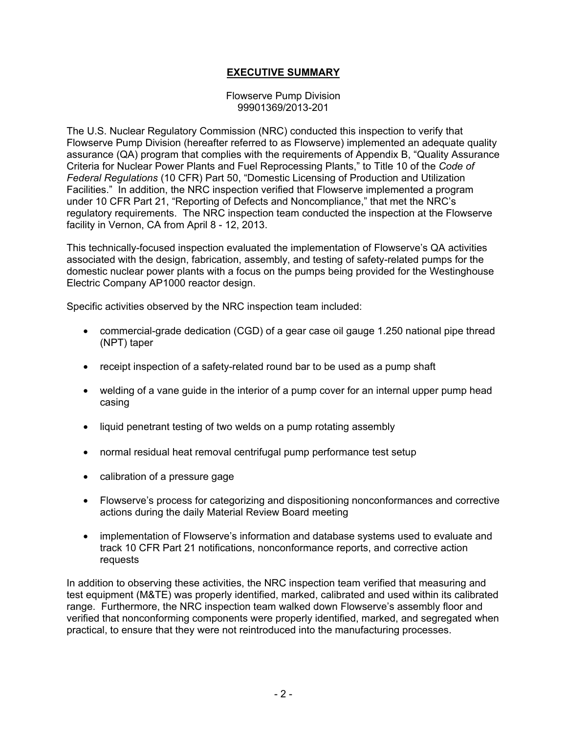## **EXECUTIVE SUMMARY**

Flowserve Pump Division 99901369/2013-201

The U.S. Nuclear Regulatory Commission (NRC) conducted this inspection to verify that Flowserve Pump Division (hereafter referred to as Flowserve) implemented an adequate quality assurance (QA) program that complies with the requirements of Appendix B, "Quality Assurance Criteria for Nuclear Power Plants and Fuel Reprocessing Plants," to Title 10 of the *Code of Federal Regulations* (10 CFR) Part 50, "Domestic Licensing of Production and Utilization Facilities." In addition, the NRC inspection verified that Flowserve implemented a program under 10 CFR Part 21, "Reporting of Defects and Noncompliance," that met the NRC's regulatory requirements. The NRC inspection team conducted the inspection at the Flowserve facility in Vernon, CA from April 8 - 12, 2013.

This technically-focused inspection evaluated the implementation of Flowserve's QA activities associated with the design, fabrication, assembly, and testing of safety-related pumps for the domestic nuclear power plants with a focus on the pumps being provided for the Westinghouse Electric Company AP1000 reactor design.

Specific activities observed by the NRC inspection team included:

- commercial-grade dedication (CGD) of a gear case oil gauge 1.250 national pipe thread (NPT) taper
- receipt inspection of a safety-related round bar to be used as a pump shaft
- welding of a vane guide in the interior of a pump cover for an internal upper pump head casing
- liquid penetrant testing of two welds on a pump rotating assembly
- normal residual heat removal centrifugal pump performance test setup
- calibration of a pressure gage
- Flowserve's process for categorizing and dispositioning nonconformances and corrective actions during the daily Material Review Board meeting
- implementation of Flowserve's information and database systems used to evaluate and track 10 CFR Part 21 notifications, nonconformance reports, and corrective action requests

In addition to observing these activities, the NRC inspection team verified that measuring and test equipment (M&TE) was properly identified, marked, calibrated and used within its calibrated range. Furthermore, the NRC inspection team walked down Flowserve's assembly floor and verified that nonconforming components were properly identified, marked, and segregated when practical, to ensure that they were not reintroduced into the manufacturing processes.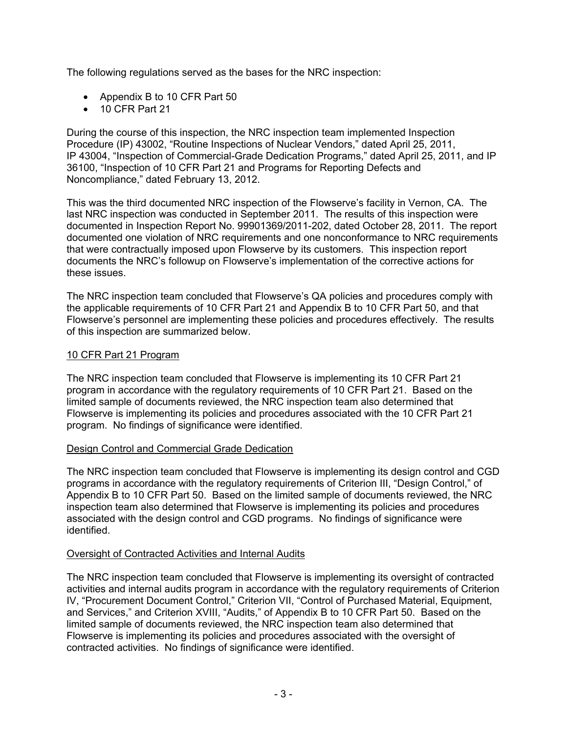The following regulations served as the bases for the NRC inspection:

- Appendix B to 10 CFR Part 50
- 10 CFR Part 21

During the course of this inspection, the NRC inspection team implemented Inspection Procedure (IP) 43002, "Routine Inspections of Nuclear Vendors," dated April 25, 2011, IP 43004, "Inspection of Commercial-Grade Dedication Programs," dated April 25, 2011, and IP 36100, "Inspection of 10 CFR Part 21 and Programs for Reporting Defects and Noncompliance," dated February 13, 2012.

This was the third documented NRC inspection of the Flowserve's facility in Vernon, CA. The last NRC inspection was conducted in September 2011. The results of this inspection were documented in Inspection Report No. 99901369/2011-202, dated October 28, 2011. The report documented one violation of NRC requirements and one nonconformance to NRC requirements that were contractually imposed upon Flowserve by its customers. This inspection report documents the NRC's followup on Flowserve's implementation of the corrective actions for these issues.

The NRC inspection team concluded that Flowserve's QA policies and procedures comply with the applicable requirements of 10 CFR Part 21 and Appendix B to 10 CFR Part 50, and that Flowserve's personnel are implementing these policies and procedures effectively. The results of this inspection are summarized below.

### 10 CFR Part 21 Program

The NRC inspection team concluded that Flowserve is implementing its 10 CFR Part 21 program in accordance with the regulatory requirements of 10 CFR Part 21. Based on the limited sample of documents reviewed, the NRC inspection team also determined that Flowserve is implementing its policies and procedures associated with the 10 CFR Part 21 program. No findings of significance were identified.

#### Design Control and Commercial Grade Dedication

The NRC inspection team concluded that Flowserve is implementing its design control and CGD programs in accordance with the regulatory requirements of Criterion III, "Design Control," of Appendix B to 10 CFR Part 50. Based on the limited sample of documents reviewed, the NRC inspection team also determined that Flowserve is implementing its policies and procedures associated with the design control and CGD programs. No findings of significance were identified.

#### Oversight of Contracted Activities and Internal Audits

The NRC inspection team concluded that Flowserve is implementing its oversight of contracted activities and internal audits program in accordance with the regulatory requirements of Criterion IV, "Procurement Document Control," Criterion VII, "Control of Purchased Material, Equipment, and Services," and Criterion XVIII, "Audits," of Appendix B to 10 CFR Part 50. Based on the limited sample of documents reviewed, the NRC inspection team also determined that Flowserve is implementing its policies and procedures associated with the oversight of contracted activities. No findings of significance were identified.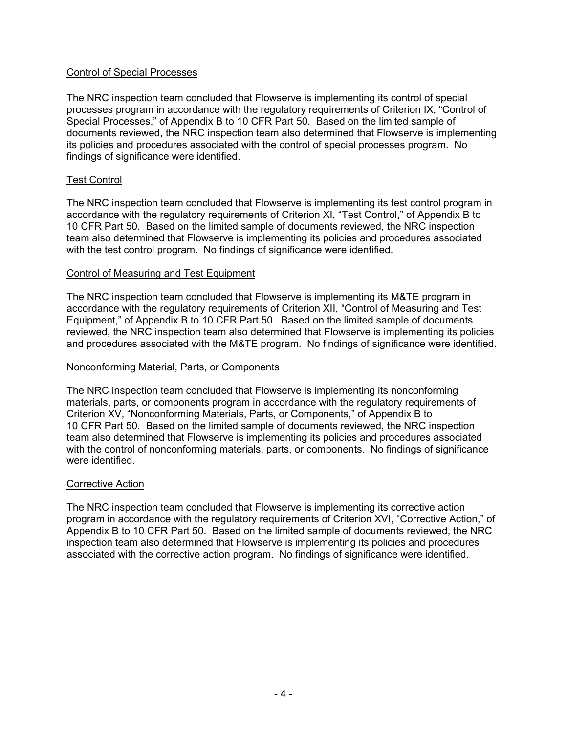#### Control of Special Processes

The NRC inspection team concluded that Flowserve is implementing its control of special processes program in accordance with the regulatory requirements of Criterion IX, "Control of Special Processes," of Appendix B to 10 CFR Part 50. Based on the limited sample of documents reviewed, the NRC inspection team also determined that Flowserve is implementing its policies and procedures associated with the control of special processes program. No findings of significance were identified.

#### Test Control

The NRC inspection team concluded that Flowserve is implementing its test control program in accordance with the regulatory requirements of Criterion XI, "Test Control," of Appendix B to 10 CFR Part 50. Based on the limited sample of documents reviewed, the NRC inspection team also determined that Flowserve is implementing its policies and procedures associated with the test control program. No findings of significance were identified.

#### Control of Measuring and Test Equipment

The NRC inspection team concluded that Flowserve is implementing its M&TE program in accordance with the regulatory requirements of Criterion XII, "Control of Measuring and Test Equipment," of Appendix B to 10 CFR Part 50. Based on the limited sample of documents reviewed, the NRC inspection team also determined that Flowserve is implementing its policies and procedures associated with the M&TE program. No findings of significance were identified.

#### Nonconforming Material, Parts, or Components

The NRC inspection team concluded that Flowserve is implementing its nonconforming materials, parts, or components program in accordance with the regulatory requirements of Criterion XV, "Nonconforming Materials, Parts, or Components," of Appendix B to 10 CFR Part 50. Based on the limited sample of documents reviewed, the NRC inspection team also determined that Flowserve is implementing its policies and procedures associated with the control of nonconforming materials, parts, or components. No findings of significance were identified.

#### Corrective Action

The NRC inspection team concluded that Flowserve is implementing its corrective action program in accordance with the regulatory requirements of Criterion XVI, "Corrective Action," of Appendix B to 10 CFR Part 50. Based on the limited sample of documents reviewed, the NRC inspection team also determined that Flowserve is implementing its policies and procedures associated with the corrective action program. No findings of significance were identified.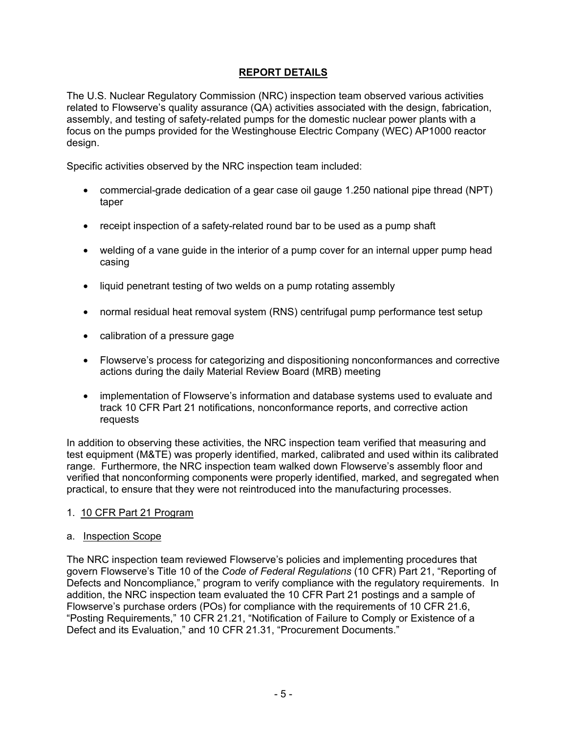# **REPORT DETAILS**

The U.S. Nuclear Regulatory Commission (NRC) inspection team observed various activities related to Flowserve's quality assurance (QA) activities associated with the design, fabrication, assembly, and testing of safety-related pumps for the domestic nuclear power plants with a focus on the pumps provided for the Westinghouse Electric Company (WEC) AP1000 reactor design.

Specific activities observed by the NRC inspection team included:

- commercial-grade dedication of a gear case oil gauge 1.250 national pipe thread (NPT) taper
- receipt inspection of a safety-related round bar to be used as a pump shaft
- welding of a vane guide in the interior of a pump cover for an internal upper pump head casing
- liquid penetrant testing of two welds on a pump rotating assembly
- normal residual heat removal system (RNS) centrifugal pump performance test setup
- calibration of a pressure gage
- Flowserve's process for categorizing and dispositioning nonconformances and corrective actions during the daily Material Review Board (MRB) meeting
- implementation of Flowserve's information and database systems used to evaluate and track 10 CFR Part 21 notifications, nonconformance reports, and corrective action requests

In addition to observing these activities, the NRC inspection team verified that measuring and test equipment (M&TE) was properly identified, marked, calibrated and used within its calibrated range. Furthermore, the NRC inspection team walked down Flowserve's assembly floor and verified that nonconforming components were properly identified, marked, and segregated when practical, to ensure that they were not reintroduced into the manufacturing processes.

#### 1. 10 CFR Part 21 Program

#### a. Inspection Scope

The NRC inspection team reviewed Flowserve's policies and implementing procedures that govern Flowserve's Title 10 of the *Code of Federal Regulations* (10 CFR) Part 21, "Reporting of Defects and Noncompliance," program to verify compliance with the regulatory requirements. In addition, the NRC inspection team evaluated the 10 CFR Part 21 postings and a sample of Flowserve's purchase orders (POs) for compliance with the requirements of 10 CFR 21.6, "Posting Requirements," 10 CFR 21.21, "Notification of Failure to Comply or Existence of a Defect and its Evaluation," and 10 CFR 21.31, "Procurement Documents."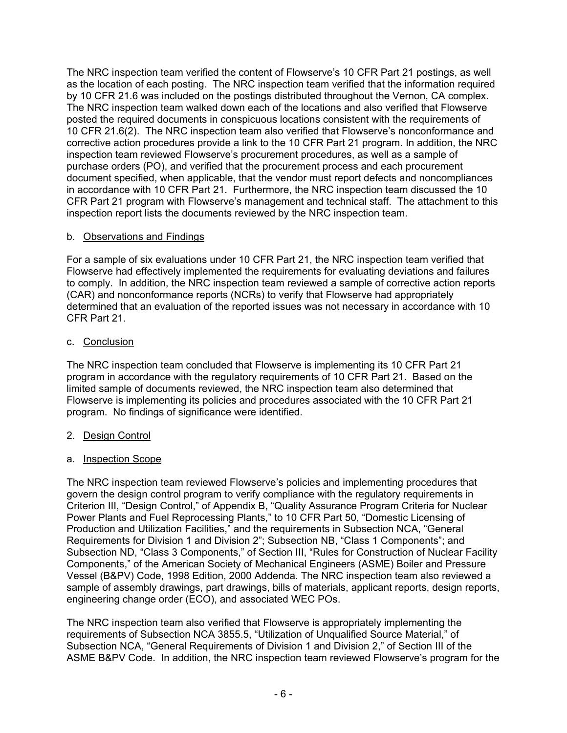The NRC inspection team verified the content of Flowserve's 10 CFR Part 21 postings, as well as the location of each posting. The NRC inspection team verified that the information required by 10 CFR 21.6 was included on the postings distributed throughout the Vernon, CA complex. The NRC inspection team walked down each of the locations and also verified that Flowserve posted the required documents in conspicuous locations consistent with the requirements of 10 CFR 21.6(2). The NRC inspection team also verified that Flowserve's nonconformance and corrective action procedures provide a link to the 10 CFR Part 21 program. In addition, the NRC inspection team reviewed Flowserve's procurement procedures, as well as a sample of purchase orders (PO), and verified that the procurement process and each procurement document specified, when applicable, that the vendor must report defects and noncompliances in accordance with 10 CFR Part 21. Furthermore, the NRC inspection team discussed the 10 CFR Part 21 program with Flowserve's management and technical staff. The attachment to this inspection report lists the documents reviewed by the NRC inspection team.

# b. Observations and Findings

For a sample of six evaluations under 10 CFR Part 21, the NRC inspection team verified that Flowserve had effectively implemented the requirements for evaluating deviations and failures to comply. In addition, the NRC inspection team reviewed a sample of corrective action reports (CAR) and nonconformance reports (NCRs) to verify that Flowserve had appropriately determined that an evaluation of the reported issues was not necessary in accordance with 10 CFR Part 21.

# c. Conclusion

The NRC inspection team concluded that Flowserve is implementing its 10 CFR Part 21 program in accordance with the regulatory requirements of 10 CFR Part 21. Based on the limited sample of documents reviewed, the NRC inspection team also determined that Flowserve is implementing its policies and procedures associated with the 10 CFR Part 21 program. No findings of significance were identified.

# 2. Design Control

# a. Inspection Scope

The NRC inspection team reviewed Flowserve's policies and implementing procedures that govern the design control program to verify compliance with the regulatory requirements in Criterion III, "Design Control," of Appendix B, "Quality Assurance Program Criteria for Nuclear Power Plants and Fuel Reprocessing Plants," to 10 CFR Part 50, "Domestic Licensing of Production and Utilization Facilities," and the requirements in Subsection NCA, "General Requirements for Division 1 and Division 2"; Subsection NB, "Class 1 Components"; and Subsection ND, "Class 3 Components," of Section III, "Rules for Construction of Nuclear Facility Components," of the American Society of Mechanical Engineers (ASME) Boiler and Pressure Vessel (B&PV) Code, 1998 Edition, 2000 Addenda. The NRC inspection team also reviewed a sample of assembly drawings, part drawings, bills of materials, applicant reports, design reports, engineering change order (ECO), and associated WEC POs.

The NRC inspection team also verified that Flowserve is appropriately implementing the requirements of Subsection NCA 3855.5, "Utilization of Unqualified Source Material," of Subsection NCA, "General Requirements of Division 1 and Division 2," of Section III of the ASME B&PV Code. In addition, the NRC inspection team reviewed Flowserve's program for the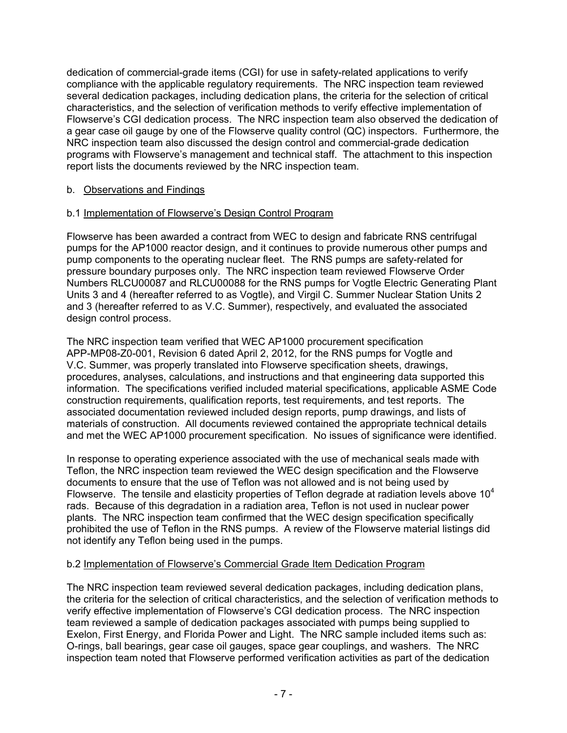dedication of commercial-grade items (CGI) for use in safety-related applications to verify compliance with the applicable regulatory requirements. The NRC inspection team reviewed several dedication packages, including dedication plans, the criteria for the selection of critical characteristics, and the selection of verification methods to verify effective implementation of Flowserve's CGI dedication process. The NRC inspection team also observed the dedication of a gear case oil gauge by one of the Flowserve quality control (QC) inspectors. Furthermore, the NRC inspection team also discussed the design control and commercial-grade dedication programs with Flowserve's management and technical staff. The attachment to this inspection report lists the documents reviewed by the NRC inspection team.

# b. Observations and Findings

# b.1 Implementation of Flowserve's Design Control Program

Flowserve has been awarded a contract from WEC to design and fabricate RNS centrifugal pumps for the AP1000 reactor design, and it continues to provide numerous other pumps and pump components to the operating nuclear fleet. The RNS pumps are safety-related for pressure boundary purposes only. The NRC inspection team reviewed Flowserve Order Numbers RLCU00087 and RLCU00088 for the RNS pumps for Vogtle Electric Generating Plant Units 3 and 4 (hereafter referred to as Vogtle), and Virgil C. Summer Nuclear Station Units 2 and 3 (hereafter referred to as V.C. Summer), respectively, and evaluated the associated design control process.

The NRC inspection team verified that WEC AP1000 procurement specification APP-MP08-Z0-001, Revision 6 dated April 2, 2012, for the RNS pumps for Vogtle and V.C. Summer, was properly translated into Flowserve specification sheets, drawings, procedures, analyses, calculations, and instructions and that engineering data supported this information. The specifications verified included material specifications, applicable ASME Code construction requirements, qualification reports, test requirements, and test reports. The associated documentation reviewed included design reports, pump drawings, and lists of materials of construction. All documents reviewed contained the appropriate technical details and met the WEC AP1000 procurement specification. No issues of significance were identified.

In response to operating experience associated with the use of mechanical seals made with Teflon, the NRC inspection team reviewed the WEC design specification and the Flowserve documents to ensure that the use of Teflon was not allowed and is not being used by Flowserve. The tensile and elasticity properties of Teflon degrade at radiation levels above  $10<sup>4</sup>$ rads. Because of this degradation in a radiation area, Teflon is not used in nuclear power plants. The NRC inspection team confirmed that the WEC design specification specifically prohibited the use of Teflon in the RNS pumps. A review of the Flowserve material listings did not identify any Teflon being used in the pumps.

#### b.2 Implementation of Flowserve's Commercial Grade Item Dedication Program

The NRC inspection team reviewed several dedication packages, including dedication plans, the criteria for the selection of critical characteristics, and the selection of verification methods to verify effective implementation of Flowserve's CGI dedication process. The NRC inspection team reviewed a sample of dedication packages associated with pumps being supplied to Exelon, First Energy, and Florida Power and Light. The NRC sample included items such as: O-rings, ball bearings, gear case oil gauges, space gear couplings, and washers. The NRC inspection team noted that Flowserve performed verification activities as part of the dedication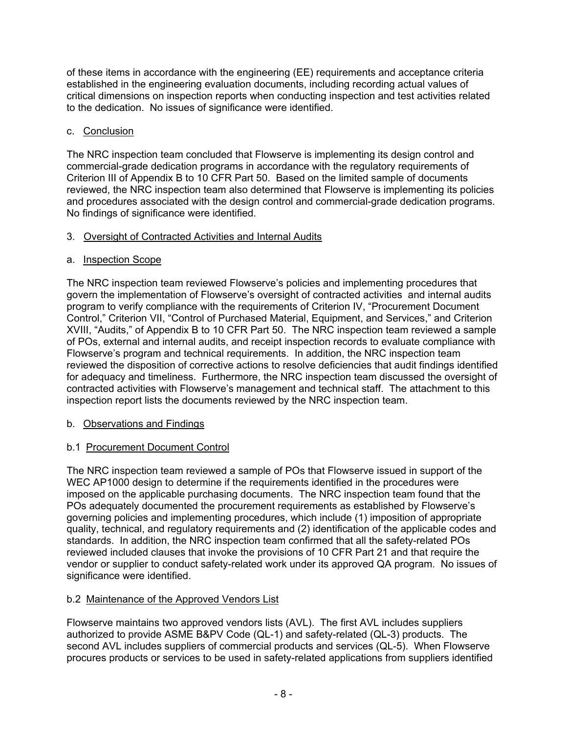of these items in accordance with the engineering (EE) requirements and acceptance criteria established in the engineering evaluation documents, including recording actual values of critical dimensions on inspection reports when conducting inspection and test activities related to the dedication. No issues of significance were identified.

# c. Conclusion

The NRC inspection team concluded that Flowserve is implementing its design control and commercial-grade dedication programs in accordance with the regulatory requirements of Criterion III of Appendix B to 10 CFR Part 50. Based on the limited sample of documents reviewed, the NRC inspection team also determined that Flowserve is implementing its policies and procedures associated with the design control and commercial-grade dedication programs. No findings of significance were identified.

# 3. Oversight of Contracted Activities and Internal Audits

# a. Inspection Scope

The NRC inspection team reviewed Flowserve's policies and implementing procedures that govern the implementation of Flowserve's oversight of contracted activities and internal audits program to verify compliance with the requirements of Criterion IV, "Procurement Document Control," Criterion VII, "Control of Purchased Material, Equipment, and Services," and Criterion XVIII, "Audits," of Appendix B to 10 CFR Part 50. The NRC inspection team reviewed a sample of POs, external and internal audits, and receipt inspection records to evaluate compliance with Flowserve's program and technical requirements. In addition, the NRC inspection team reviewed the disposition of corrective actions to resolve deficiencies that audit findings identified for adequacy and timeliness. Furthermore, the NRC inspection team discussed the oversight of contracted activities with Flowserve's management and technical staff. The attachment to this inspection report lists the documents reviewed by the NRC inspection team.

# b. Observations and Findings

# b.1 Procurement Document Control

The NRC inspection team reviewed a sample of POs that Flowserve issued in support of the WEC AP1000 design to determine if the requirements identified in the procedures were imposed on the applicable purchasing documents. The NRC inspection team found that the POs adequately documented the procurement requirements as established by Flowserve's governing policies and implementing procedures, which include (1) imposition of appropriate quality, technical, and regulatory requirements and (2) identification of the applicable codes and standards. In addition, the NRC inspection team confirmed that all the safety-related POs reviewed included clauses that invoke the provisions of 10 CFR Part 21 and that require the vendor or supplier to conduct safety-related work under its approved QA program. No issues of significance were identified.

# b.2 Maintenance of the Approved Vendors List

Flowserve maintains two approved vendors lists (AVL). The first AVL includes suppliers authorized to provide ASME B&PV Code (QL-1) and safety-related (QL-3) products. The second AVL includes suppliers of commercial products and services (QL-5). When Flowserve procures products or services to be used in safety-related applications from suppliers identified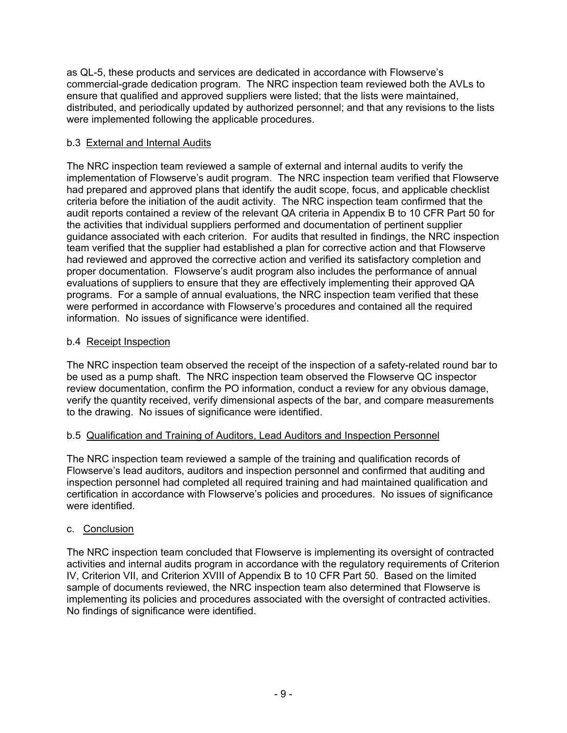as QL-5, these products and services are dedicated in accordance with Flowserve's commercial-grade dedication program. The NRC inspection team reviewed both the AVLs to ensure that qualified and approved suppliers were listed; that the lists were maintained, distributed, and periodically updated by authorized personnel; and that any revisions to the lists were implemented following the applicable procedures.

# b.3 External and Internal Audits

The NRC inspection team reviewed a sample of external and internal audits to verify the implementation of Flowserve's audit program. The NRC inspection team verified that Flowserve had prepared and approved plans that identify the audit scope, focus, and applicable checklist criteria before the initiation of the audit activity. The NRC inspection team confirmed that the audit reports contained a review of the relevant QA criteria in Appendix B to 10 CFR Part 50 for the activities that individual suppliers performed and documentation of pertinent supplier guidance associated with each criterion. For audits that resulted in findings, the NRC inspection team verified that the supplier had established a plan for corrective action and that Flowserve had reviewed and approved the corrective action and verified its satisfactory completion and proper documentation. Flowserve's audit program also includes the performance of annual evaluations of suppliers to ensure that they are effectively implementing their approved QA programs. For a sample of annual evaluations, the NRC inspection team verified that these were performed in accordance with Flowserve's procedures and contained all the required information. No issues of significance were identified.

# b.4 Receipt Inspection

The NRC inspection team observed the receipt of the inspection of a safety-related round bar to be used as a pump shaft. The NRC inspection team observed the Flowserve QC inspector review documentation, confirm the PO information, conduct a review for any obvious damage, verify the quantity received, verify dimensional aspects of the bar, and compare measurements to the drawing. No issues of significance were identified.

# b.5 Qualification and Training of Auditors, Lead Auditors and Inspection Personnel

The NRC inspection team reviewed a sample of the training and qualification records of Flowserve's lead auditors, auditors and inspection personnel and confirmed that auditing and inspection personnel had completed all required training and had maintained qualification and certification in accordance with Flowserve's policies and procedures. No issues of significance were identified.

# c. Conclusion

The NRC inspection team concluded that Flowserve is implementing its oversight of contracted activities and internal audits program in accordance with the regulatory requirements of Criterion IV, Criterion VII, and Criterion XVIII of Appendix B to 10 CFR Part 50. Based on the limited sample of documents reviewed, the NRC inspection team also determined that Flowserve is implementing its policies and procedures associated with the oversight of contracted activities. No findings of significance were identified.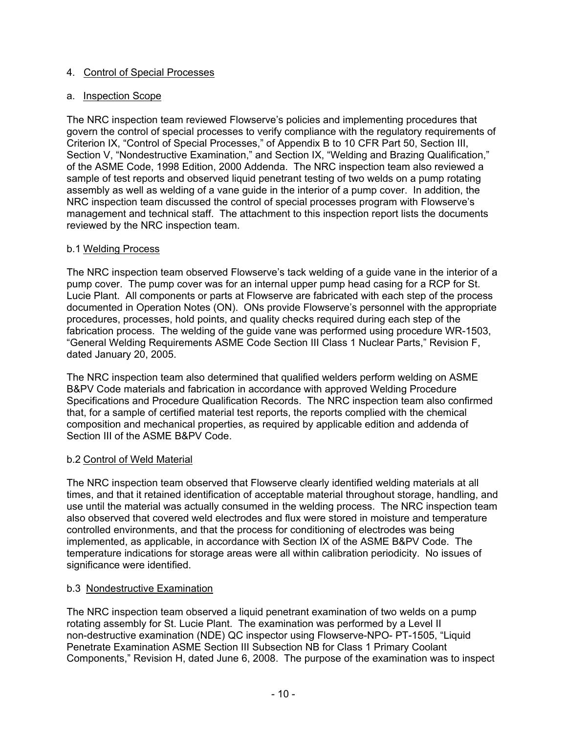## 4. Control of Special Processes

#### a. Inspection Scope

The NRC inspection team reviewed Flowserve's policies and implementing procedures that govern the control of special processes to verify compliance with the regulatory requirements of Criterion IX, "Control of Special Processes," of Appendix B to 10 CFR Part 50, Section III, Section V, "Nondestructive Examination," and Section IX, "Welding and Brazing Qualification," of the ASME Code, 1998 Edition, 2000 Addenda. The NRC inspection team also reviewed a sample of test reports and observed liquid penetrant testing of two welds on a pump rotating assembly as well as welding of a vane guide in the interior of a pump cover. In addition, the NRC inspection team discussed the control of special processes program with Flowserve's management and technical staff. The attachment to this inspection report lists the documents reviewed by the NRC inspection team.

### b.1 Welding Process

The NRC inspection team observed Flowserve's tack welding of a guide vane in the interior of a pump cover. The pump cover was for an internal upper pump head casing for a RCP for St. Lucie Plant. All components or parts at Flowserve are fabricated with each step of the process documented in Operation Notes (ON). ONs provide Flowserve's personnel with the appropriate procedures, processes, hold points, and quality checks required during each step of the fabrication process. The welding of the guide vane was performed using procedure WR-1503, "General Welding Requirements ASME Code Section III Class 1 Nuclear Parts," Revision F, dated January 20, 2005.

The NRC inspection team also determined that qualified welders perform welding on ASME B&PV Code materials and fabrication in accordance with approved Welding Procedure Specifications and Procedure Qualification Records. The NRC inspection team also confirmed that, for a sample of certified material test reports, the reports complied with the chemical composition and mechanical properties, as required by applicable edition and addenda of Section III of the ASME B&PV Code.

# b.2 Control of Weld Material

The NRC inspection team observed that Flowserve clearly identified welding materials at all times, and that it retained identification of acceptable material throughout storage, handling, and use until the material was actually consumed in the welding process. The NRC inspection team also observed that covered weld electrodes and flux were stored in moisture and temperature controlled environments, and that the process for conditioning of electrodes was being implemented, as applicable, in accordance with Section IX of the ASME B&PV Code. The temperature indications for storage areas were all within calibration periodicity. No issues of significance were identified.

#### b.3 Nondestructive Examination

The NRC inspection team observed a liquid penetrant examination of two welds on a pump rotating assembly for St. Lucie Plant. The examination was performed by a Level II non-destructive examination (NDE) QC inspector using Flowserve-NPO- PT-1505, "Liquid Penetrate Examination ASME Section III Subsection NB for Class 1 Primary Coolant Components," Revision H, dated June 6, 2008. The purpose of the examination was to inspect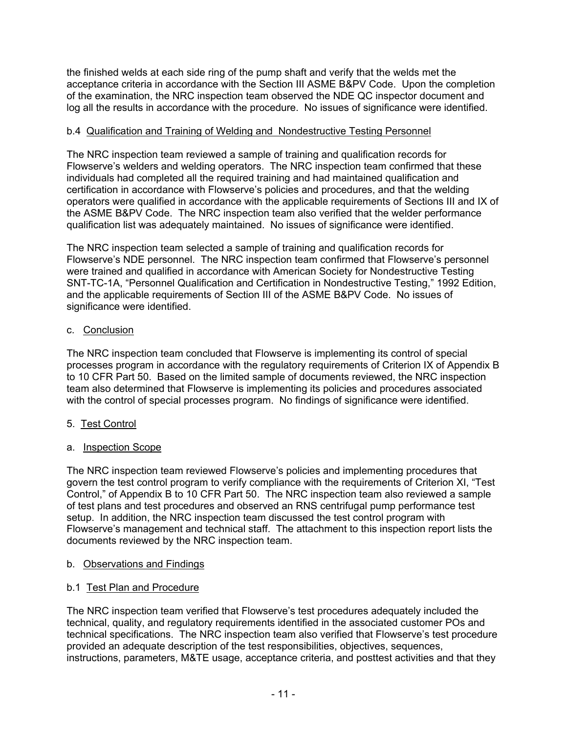the finished welds at each side ring of the pump shaft and verify that the welds met the acceptance criteria in accordance with the Section III ASME B&PV Code. Upon the completion of the examination, the NRC inspection team observed the NDE QC inspector document and log all the results in accordance with the procedure. No issues of significance were identified.

# b.4 Qualification and Training of Welding and Nondestructive Testing Personnel

The NRC inspection team reviewed a sample of training and qualification records for Flowserve's welders and welding operators. The NRC inspection team confirmed that these individuals had completed all the required training and had maintained qualification and certification in accordance with Flowserve's policies and procedures, and that the welding operators were qualified in accordance with the applicable requirements of Sections III and IX of the ASME B&PV Code. The NRC inspection team also verified that the welder performance qualification list was adequately maintained. No issues of significance were identified.

The NRC inspection team selected a sample of training and qualification records for Flowserve's NDE personnel. The NRC inspection team confirmed that Flowserve's personnel were trained and qualified in accordance with American Society for Nondestructive Testing SNT-TC-1A, "Personnel Qualification and Certification in Nondestructive Testing," 1992 Edition, and the applicable requirements of Section III of the ASME B&PV Code. No issues of significance were identified.

### c. Conclusion

The NRC inspection team concluded that Flowserve is implementing its control of special processes program in accordance with the regulatory requirements of Criterion IX of Appendix B to 10 CFR Part 50. Based on the limited sample of documents reviewed, the NRC inspection team also determined that Flowserve is implementing its policies and procedures associated with the control of special processes program. No findings of significance were identified.

# 5. Test Control

# a. Inspection Scope

The NRC inspection team reviewed Flowserve's policies and implementing procedures that govern the test control program to verify compliance with the requirements of Criterion XI, "Test Control," of Appendix B to 10 CFR Part 50. The NRC inspection team also reviewed a sample of test plans and test procedures and observed an RNS centrifugal pump performance test setup. In addition, the NRC inspection team discussed the test control program with Flowserve's management and technical staff. The attachment to this inspection report lists the documents reviewed by the NRC inspection team.

#### b. Observations and Findings

# b.1 Test Plan and Procedure

The NRC inspection team verified that Flowserve's test procedures adequately included the technical, quality, and regulatory requirements identified in the associated customer POs and technical specifications. The NRC inspection team also verified that Flowserve's test procedure provided an adequate description of the test responsibilities, objectives, sequences, instructions, parameters, M&TE usage, acceptance criteria, and posttest activities and that they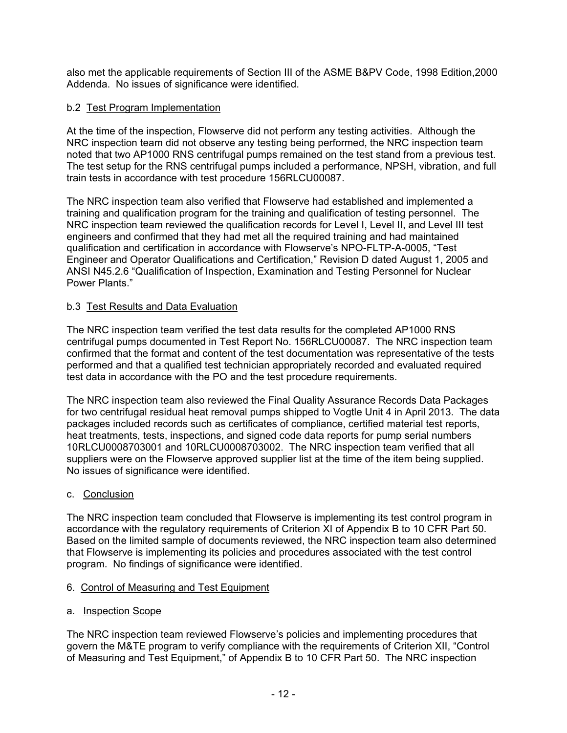also met the applicable requirements of Section III of the ASME B&PV Code, 1998 Edition,2000 Addenda. No issues of significance were identified.

## b.2 Test Program Implementation

At the time of the inspection, Flowserve did not perform any testing activities. Although the NRC inspection team did not observe any testing being performed, the NRC inspection team noted that two AP1000 RNS centrifugal pumps remained on the test stand from a previous test. The test setup for the RNS centrifugal pumps included a performance, NPSH, vibration, and full train tests in accordance with test procedure 156RLCU00087.

The NRC inspection team also verified that Flowserve had established and implemented a training and qualification program for the training and qualification of testing personnel. The NRC inspection team reviewed the qualification records for Level I, Level II, and Level III test engineers and confirmed that they had met all the required training and had maintained qualification and certification in accordance with Flowserve's NPO-FLTP-A-0005, "Test Engineer and Operator Qualifications and Certification," Revision D dated August 1, 2005 and ANSI N45.2.6 "Qualification of Inspection, Examination and Testing Personnel for Nuclear Power Plants."

#### b.3 Test Results and Data Evaluation

The NRC inspection team verified the test data results for the completed AP1000 RNS centrifugal pumps documented in Test Report No. 156RLCU00087. The NRC inspection team confirmed that the format and content of the test documentation was representative of the tests performed and that a qualified test technician appropriately recorded and evaluated required test data in accordance with the PO and the test procedure requirements.

The NRC inspection team also reviewed the Final Quality Assurance Records Data Packages for two centrifugal residual heat removal pumps shipped to Vogtle Unit 4 in April 2013. The data packages included records such as certificates of compliance, certified material test reports, heat treatments, tests, inspections, and signed code data reports for pump serial numbers 10RLCU0008703001 and 10RLCU0008703002. The NRC inspection team verified that all suppliers were on the Flowserve approved supplier list at the time of the item being supplied. No issues of significance were identified.

#### c. Conclusion

The NRC inspection team concluded that Flowserve is implementing its test control program in accordance with the regulatory requirements of Criterion XI of Appendix B to 10 CFR Part 50. Based on the limited sample of documents reviewed, the NRC inspection team also determined that Flowserve is implementing its policies and procedures associated with the test control program. No findings of significance were identified.

#### 6. Control of Measuring and Test Equipment

a. Inspection Scope

The NRC inspection team reviewed Flowserve's policies and implementing procedures that govern the M&TE program to verify compliance with the requirements of Criterion XII, "Control of Measuring and Test Equipment," of Appendix B to 10 CFR Part 50. The NRC inspection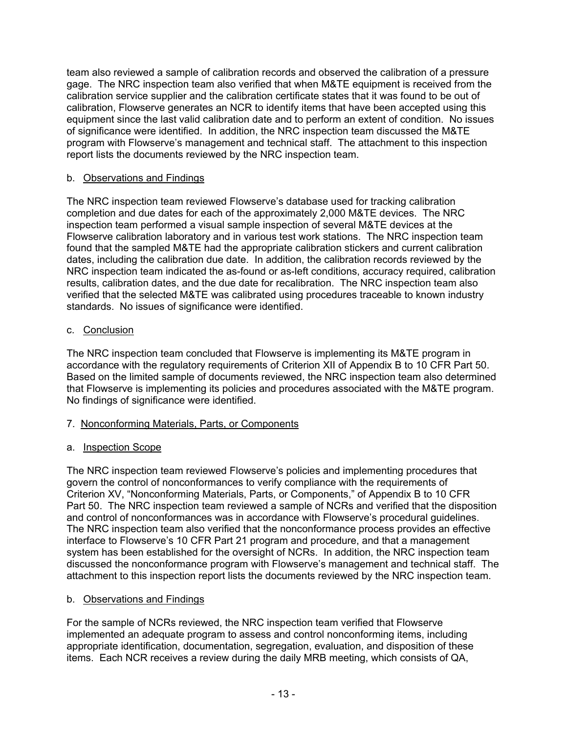team also reviewed a sample of calibration records and observed the calibration of a pressure gage. The NRC inspection team also verified that when M&TE equipment is received from the calibration service supplier and the calibration certificate states that it was found to be out of calibration, Flowserve generates an NCR to identify items that have been accepted using this equipment since the last valid calibration date and to perform an extent of condition. No issues of significance were identified. In addition, the NRC inspection team discussed the M&TE program with Flowserve's management and technical staff. The attachment to this inspection report lists the documents reviewed by the NRC inspection team.

## b. Observations and Findings

The NRC inspection team reviewed Flowserve's database used for tracking calibration completion and due dates for each of the approximately 2,000 M&TE devices. The NRC inspection team performed a visual sample inspection of several M&TE devices at the Flowserve calibration laboratory and in various test work stations. The NRC inspection team found that the sampled M&TE had the appropriate calibration stickers and current calibration dates, including the calibration due date. In addition, the calibration records reviewed by the NRC inspection team indicated the as-found or as-left conditions, accuracy required, calibration results, calibration dates, and the due date for recalibration. The NRC inspection team also verified that the selected M&TE was calibrated using procedures traceable to known industry standards. No issues of significance were identified.

### c. Conclusion

The NRC inspection team concluded that Flowserve is implementing its M&TE program in accordance with the regulatory requirements of Criterion XII of Appendix B to 10 CFR Part 50. Based on the limited sample of documents reviewed, the NRC inspection team also determined that Flowserve is implementing its policies and procedures associated with the M&TE program. No findings of significance were identified.

# 7. Nonconforming Materials, Parts, or Components

# a. Inspection Scope

The NRC inspection team reviewed Flowserve's policies and implementing procedures that govern the control of nonconformances to verify compliance with the requirements of Criterion XV, "Nonconforming Materials, Parts, or Components," of Appendix B to 10 CFR Part 50. The NRC inspection team reviewed a sample of NCRs and verified that the disposition and control of nonconformances was in accordance with Flowserve's procedural guidelines. The NRC inspection team also verified that the nonconformance process provides an effective interface to Flowserve's 10 CFR Part 21 program and procedure, and that a management system has been established for the oversight of NCRs. In addition, the NRC inspection team discussed the nonconformance program with Flowserve's management and technical staff. The attachment to this inspection report lists the documents reviewed by the NRC inspection team.

#### b. Observations and Findings

For the sample of NCRs reviewed, the NRC inspection team verified that Flowserve implemented an adequate program to assess and control nonconforming items, including appropriate identification, documentation, segregation, evaluation, and disposition of these items. Each NCR receives a review during the daily MRB meeting, which consists of QA,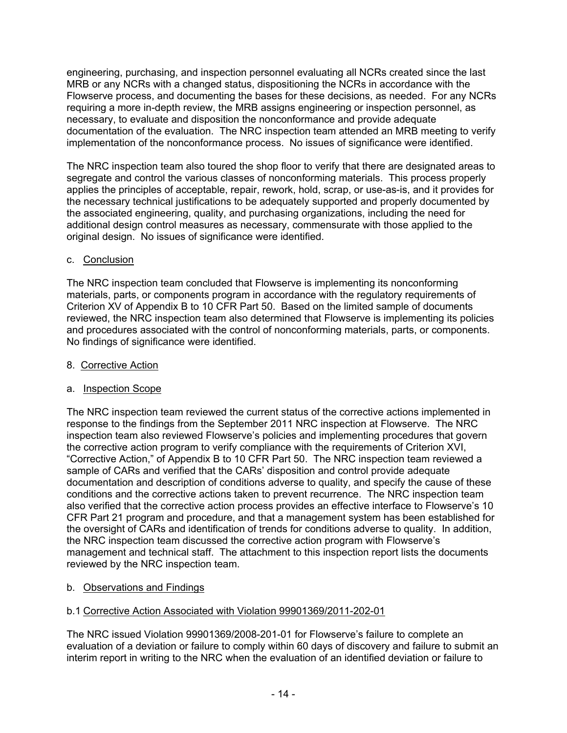engineering, purchasing, and inspection personnel evaluating all NCRs created since the last MRB or any NCRs with a changed status, dispositioning the NCRs in accordance with the Flowserve process, and documenting the bases for these decisions, as needed. For any NCRs requiring a more in-depth review, the MRB assigns engineering or inspection personnel, as necessary, to evaluate and disposition the nonconformance and provide adequate documentation of the evaluation. The NRC inspection team attended an MRB meeting to verify implementation of the nonconformance process. No issues of significance were identified.

The NRC inspection team also toured the shop floor to verify that there are designated areas to segregate and control the various classes of nonconforming materials. This process properly applies the principles of acceptable, repair, rework, hold, scrap, or use-as-is, and it provides for the necessary technical justifications to be adequately supported and properly documented by the associated engineering, quality, and purchasing organizations, including the need for additional design control measures as necessary, commensurate with those applied to the original design. No issues of significance were identified.

# c. Conclusion

The NRC inspection team concluded that Flowserve is implementing its nonconforming materials, parts, or components program in accordance with the regulatory requirements of Criterion XV of Appendix B to 10 CFR Part 50. Based on the limited sample of documents reviewed, the NRC inspection team also determined that Flowserve is implementing its policies and procedures associated with the control of nonconforming materials, parts, or components. No findings of significance were identified.

8. Corrective Action

# a. Inspection Scope

The NRC inspection team reviewed the current status of the corrective actions implemented in response to the findings from the September 2011 NRC inspection at Flowserve. The NRC inspection team also reviewed Flowserve's policies and implementing procedures that govern the corrective action program to verify compliance with the requirements of Criterion XVI, "Corrective Action," of Appendix B to 10 CFR Part 50. The NRC inspection team reviewed a sample of CARs and verified that the CARs' disposition and control provide adequate documentation and description of conditions adverse to quality, and specify the cause of these conditions and the corrective actions taken to prevent recurrence. The NRC inspection team also verified that the corrective action process provides an effective interface to Flowserve's 10 CFR Part 21 program and procedure, and that a management system has been established for the oversight of CARs and identification of trends for conditions adverse to quality. In addition, the NRC inspection team discussed the corrective action program with Flowserve's management and technical staff. The attachment to this inspection report lists the documents reviewed by the NRC inspection team.

# b. Observations and Findings

# b.1 Corrective Action Associated with Violation 99901369/2011-202-01

The NRC issued Violation 99901369/2008-201-01 for Flowserve's failure to complete an evaluation of a deviation or failure to comply within 60 days of discovery and failure to submit an interim report in writing to the NRC when the evaluation of an identified deviation or failure to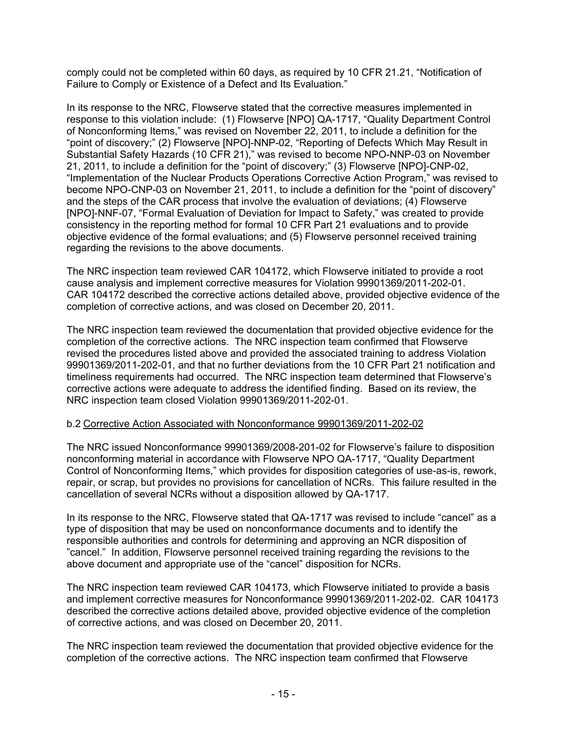comply could not be completed within 60 days, as required by 10 CFR 21.21, "Notification of Failure to Comply or Existence of a Defect and Its Evaluation."

In its response to the NRC, Flowserve stated that the corrective measures implemented in response to this violation include: (1) Flowserve [NPO] QA-1717, "Quality Department Control of Nonconforming Items," was revised on November 22, 2011, to include a definition for the "point of discovery;" (2) Flowserve [NPO]-NNP-02, "Reporting of Defects Which May Result in Substantial Safety Hazards (10 CFR 21)," was revised to become NPO-NNP-03 on November 21, 2011, to include a definition for the "point of discovery;" (3) Flowserve [NPO]-CNP-02, "Implementation of the Nuclear Products Operations Corrective Action Program," was revised to become NPO-CNP-03 on November 21, 2011, to include a definition for the "point of discovery" and the steps of the CAR process that involve the evaluation of deviations; (4) Flowserve [NPO]-NNF-07, "Formal Evaluation of Deviation for Impact to Safety," was created to provide consistency in the reporting method for formal 10 CFR Part 21 evaluations and to provide objective evidence of the formal evaluations; and (5) Flowserve personnel received training regarding the revisions to the above documents.

The NRC inspection team reviewed CAR 104172, which Flowserve initiated to provide a root cause analysis and implement corrective measures for Violation 99901369/2011-202-01. CAR 104172 described the corrective actions detailed above, provided objective evidence of the completion of corrective actions, and was closed on December 20, 2011.

The NRC inspection team reviewed the documentation that provided objective evidence for the completion of the corrective actions. The NRC inspection team confirmed that Flowserve revised the procedures listed above and provided the associated training to address Violation 99901369/2011-202-01, and that no further deviations from the 10 CFR Part 21 notification and timeliness requirements had occurred. The NRC inspection team determined that Flowserve's corrective actions were adequate to address the identified finding. Based on its review, the NRC inspection team closed Violation 99901369/2011-202-01.

#### b.2 Corrective Action Associated with Nonconformance 99901369/2011-202-02

The NRC issued Nonconformance 99901369/2008-201-02 for Flowserve's failure to disposition nonconforming material in accordance with Flowserve NPO QA-1717, "Quality Department Control of Nonconforming Items," which provides for disposition categories of use-as-is, rework, repair, or scrap, but provides no provisions for cancellation of NCRs. This failure resulted in the cancellation of several NCRs without a disposition allowed by QA-1717.

In its response to the NRC, Flowserve stated that QA-1717 was revised to include "cancel" as a type of disposition that may be used on nonconformance documents and to identify the responsible authorities and controls for determining and approving an NCR disposition of "cancel." In addition, Flowserve personnel received training regarding the revisions to the above document and appropriate use of the "cancel" disposition for NCRs.

The NRC inspection team reviewed CAR 104173, which Flowserve initiated to provide a basis and implement corrective measures for Nonconformance 99901369/2011-202-02. CAR 104173 described the corrective actions detailed above, provided objective evidence of the completion of corrective actions, and was closed on December 20, 2011.

The NRC inspection team reviewed the documentation that provided objective evidence for the completion of the corrective actions. The NRC inspection team confirmed that Flowserve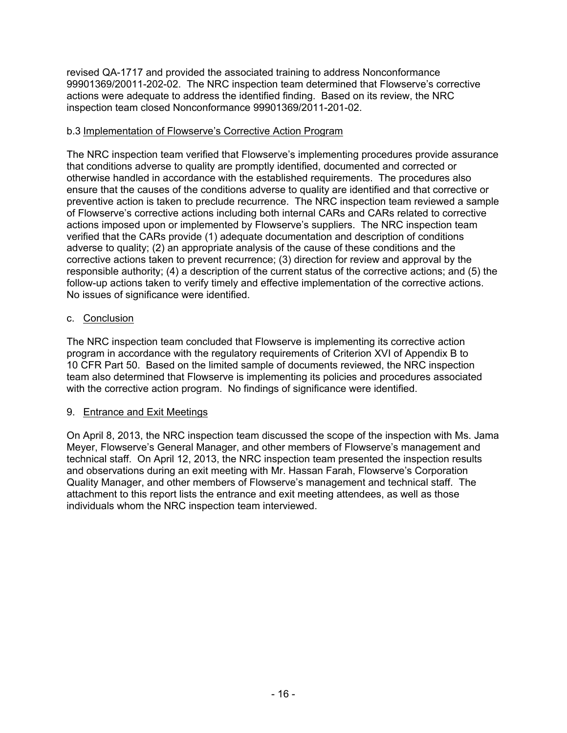revised QA-1717 and provided the associated training to address Nonconformance 99901369/20011-202-02. The NRC inspection team determined that Flowserve's corrective actions were adequate to address the identified finding. Based on its review, the NRC inspection team closed Nonconformance 99901369/2011-201-02.

## b.3 Implementation of Flowserve's Corrective Action Program

The NRC inspection team verified that Flowserve's implementing procedures provide assurance that conditions adverse to quality are promptly identified, documented and corrected or otherwise handled in accordance with the established requirements. The procedures also ensure that the causes of the conditions adverse to quality are identified and that corrective or preventive action is taken to preclude recurrence. The NRC inspection team reviewed a sample of Flowserve's corrective actions including both internal CARs and CARs related to corrective actions imposed upon or implemented by Flowserve's suppliers. The NRC inspection team verified that the CARs provide (1) adequate documentation and description of conditions adverse to quality; (2) an appropriate analysis of the cause of these conditions and the corrective actions taken to prevent recurrence; (3) direction for review and approval by the responsible authority; (4) a description of the current status of the corrective actions; and (5) the follow-up actions taken to verify timely and effective implementation of the corrective actions. No issues of significance were identified.

### c. Conclusion

The NRC inspection team concluded that Flowserve is implementing its corrective action program in accordance with the regulatory requirements of Criterion XVI of Appendix B to 10 CFR Part 50. Based on the limited sample of documents reviewed, the NRC inspection team also determined that Flowserve is implementing its policies and procedures associated with the corrective action program. No findings of significance were identified.

# 9. Entrance and Exit Meetings

On April 8, 2013, the NRC inspection team discussed the scope of the inspection with Ms. Jama Meyer, Flowserve's General Manager, and other members of Flowserve's management and technical staff. On April 12, 2013, the NRC inspection team presented the inspection results and observations during an exit meeting with Mr. Hassan Farah, Flowserve's Corporation Quality Manager, and other members of Flowserve's management and technical staff. The attachment to this report lists the entrance and exit meeting attendees, as well as those individuals whom the NRC inspection team interviewed.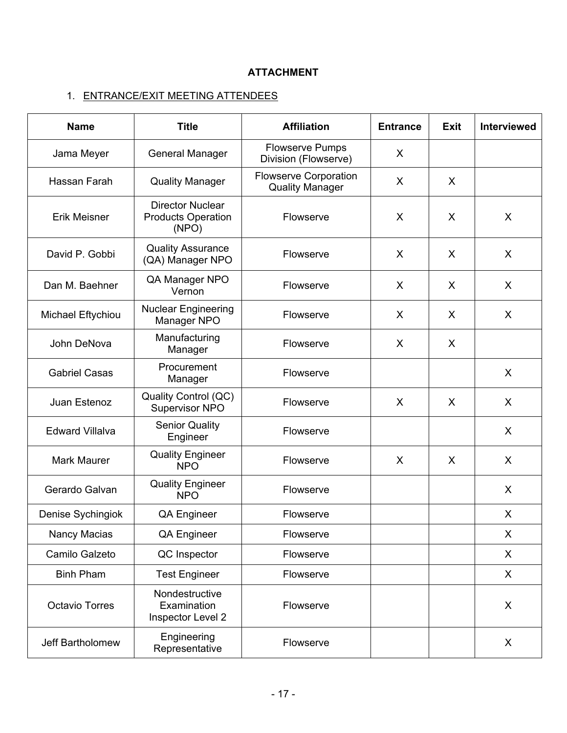# **ATTACHMENT**

# 1. ENTRANCE/EXIT MEETING ATTENDEES

| <b>Name</b>                              | <b>Title</b>                                                               | <b>Affiliation</b>                                     | <b>Entrance</b> | <b>Exit</b> | Interviewed  |
|------------------------------------------|----------------------------------------------------------------------------|--------------------------------------------------------|-----------------|-------------|--------------|
| Jama Meyer                               | General Manager                                                            | <b>Flowserve Pumps</b><br>Division (Flowserve)         | X               |             |              |
| Hassan Farah                             | <b>Quality Manager</b>                                                     | <b>Flowserve Corporation</b><br><b>Quality Manager</b> | X               | X           |              |
| Erik Meisner                             | <b>Director Nuclear</b><br><b>Products Operation</b><br>Flowserve<br>(NPO) |                                                        | X               | X           | X            |
| David P. Gobbi                           | <b>Quality Assurance</b><br>(QA) Manager NPO                               | Flowserve                                              | X               | X           | X            |
| Dan M. Baehner                           | QA Manager NPO<br>Flowserve<br>Vernon                                      |                                                        | X               | X           | X            |
| Michael Eftychiou                        | <b>Nuclear Engineering</b><br>Manager NPO                                  | Flowserve                                              | X               | X           | X            |
| John DeNova                              | Manufacturing<br>Manager                                                   | Flowserve                                              | X               | X           |              |
| <b>Gabriel Casas</b>                     | Procurement<br>Manager                                                     | Flowserve                                              |                 |             | X            |
| Juan Estenoz                             | Quality Control (QC)<br>Supervisor NPO                                     | Flowserve                                              | X               | X           | X            |
| <b>Edward Villalva</b>                   | <b>Senior Quality</b><br>Engineer                                          | Flowserve                                              |                 |             | $\mathsf{X}$ |
| <b>Mark Maurer</b>                       | <b>Quality Engineer</b><br><b>NPO</b>                                      | Flowserve                                              | X               | X           | X            |
| Gerardo Galvan                           | <b>Quality Engineer</b><br><b>NPO</b>                                      | Flowserve                                              |                 |             | X            |
| Denise Sychingiok                        | QA Engineer                                                                | Flowserve                                              |                 |             | X            |
| Nancy Macias                             | QA Engineer                                                                | Flowserve                                              |                 |             | X            |
| Camilo Galzeto<br>QC Inspector           |                                                                            | Flowserve                                              |                 |             | X            |
| <b>Binh Pham</b><br><b>Test Engineer</b> |                                                                            | Flowserve                                              |                 |             | X            |
| <b>Octavio Torres</b>                    | Nondestructive<br>Examination<br>Inspector Level 2                         | Flowserve                                              |                 |             | X            |
| Jeff Bartholomew                         | Engineering<br>Representative                                              | Flowserve                                              |                 |             | X            |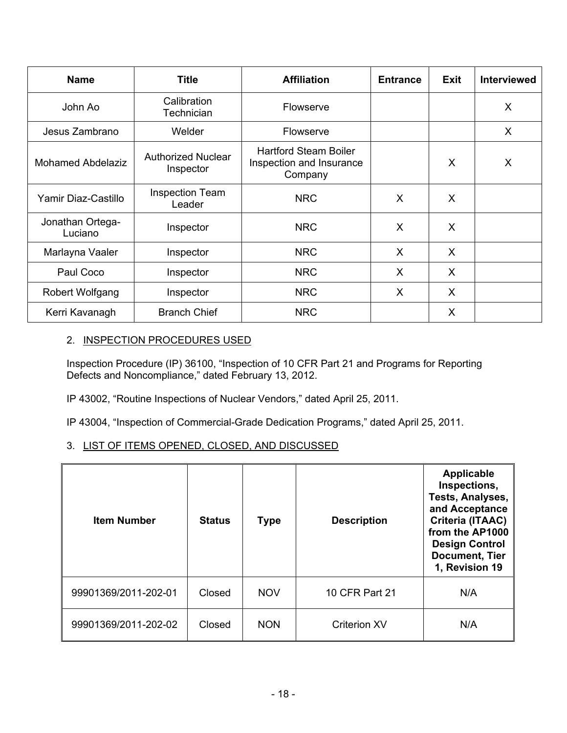| <b>Name</b>                 | <b>Title</b>                           | <b>Affiliation</b>                                                  | <b>Entrance</b> | Exit    | <b>Interviewed</b> |
|-----------------------------|----------------------------------------|---------------------------------------------------------------------|-----------------|---------|--------------------|
| John Ao                     | Calibration<br>Technician              | Flowserve                                                           |                 |         | X                  |
| Jesus Zambrano              | Welder<br>Flowserve                    |                                                                     |                 |         | X                  |
| <b>Mohamed Abdelaziz</b>    | <b>Authorized Nuclear</b><br>Inspector | <b>Hartford Steam Boiler</b><br>Inspection and Insurance<br>Company |                 | X       | X                  |
| Yamir Diaz-Castillo         | <b>Inspection Team</b><br>Leader       | <b>NRC</b>                                                          | X               | X       |                    |
| Jonathan Ortega-<br>Luciano | Inspector                              | <b>NRC</b>                                                          | X               | X       |                    |
| Marlayna Vaaler             | Inspector                              | <b>NRC</b>                                                          | X               | $\sf X$ |                    |
| Paul Coco                   | Inspector                              | <b>NRC</b>                                                          | $\mathsf{X}$    | X       |                    |
| Robert Wolfgang             | Inspector                              | <b>NRC</b>                                                          | X               | X       |                    |
| Kerri Kavanagh              | <b>Branch Chief</b>                    | <b>NRC</b>                                                          |                 | X       |                    |

### 2. INSPECTION PROCEDURES USED

Inspection Procedure (IP) 36100, "Inspection of 10 CFR Part 21 and Programs for Reporting Defects and Noncompliance," dated February 13, 2012.

IP 43002, "Routine Inspections of Nuclear Vendors," dated April 25, 2011.

IP 43004, "Inspection of Commercial-Grade Dedication Programs," dated April 25, 2011.

# 3. LIST OF ITEMS OPENED, CLOSED, AND DISCUSSED

| <b>Item Number</b>   | <b>Status</b> | <b>Type</b> | <b>Description</b>  | <b>Applicable</b><br>Inspections,<br>Tests, Analyses,<br>and Acceptance<br>Criteria (ITAAC)<br>from the AP1000<br><b>Design Control</b><br><b>Document, Tier</b><br>1, Revision 19 |
|----------------------|---------------|-------------|---------------------|------------------------------------------------------------------------------------------------------------------------------------------------------------------------------------|
| 99901369/2011-202-01 | Closed        | <b>NOV</b>  | 10 CFR Part 21      | N/A                                                                                                                                                                                |
| 99901369/2011-202-02 | Closed        | <b>NON</b>  | <b>Criterion XV</b> | N/A                                                                                                                                                                                |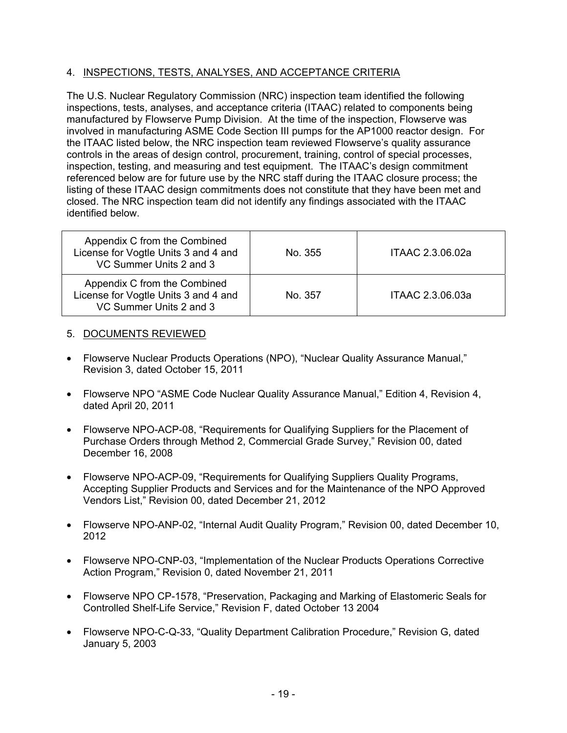# 4. INSPECTIONS, TESTS, ANALYSES, AND ACCEPTANCE CRITERIA

The U.S. Nuclear Regulatory Commission (NRC) inspection team identified the following inspections, tests, analyses, and acceptance criteria (ITAAC) related to components being manufactured by Flowserve Pump Division. At the time of the inspection, Flowserve was involved in manufacturing ASME Code Section III pumps for the AP1000 reactor design. For the ITAAC listed below, the NRC inspection team reviewed Flowserve's quality assurance controls in the areas of design control, procurement, training, control of special processes, inspection, testing, and measuring and test equipment. The ITAAC's design commitment referenced below are for future use by the NRC staff during the ITAAC closure process; the listing of these ITAAC design commitments does not constitute that they have been met and closed. The NRC inspection team did not identify any findings associated with the ITAAC identified below.

| Appendix C from the Combined<br>License for Vogtle Units 3 and 4 and<br>VC Summer Units 2 and 3 | No. 355 | ITAAC 2.3.06.02a |
|-------------------------------------------------------------------------------------------------|---------|------------------|
| Appendix C from the Combined<br>License for Vogtle Units 3 and 4 and<br>VC Summer Units 2 and 3 | No. 357 | ITAAC 2.3.06.03a |

### 5. DOCUMENTS REVIEWED

- Flowserve Nuclear Products Operations (NPO), "Nuclear Quality Assurance Manual," Revision 3, dated October 15, 2011
- Flowserve NPO "ASME Code Nuclear Quality Assurance Manual," Edition 4, Revision 4, dated April 20, 2011
- Flowserve NPO-ACP-08, "Requirements for Qualifying Suppliers for the Placement of Purchase Orders through Method 2, Commercial Grade Survey," Revision 00, dated December 16, 2008
- Flowserve NPO-ACP-09, "Requirements for Qualifying Suppliers Quality Programs, Accepting Supplier Products and Services and for the Maintenance of the NPO Approved Vendors List," Revision 00, dated December 21, 2012
- Flowserve NPO-ANP-02, "Internal Audit Quality Program," Revision 00, dated December 10, 2012
- Flowserve NPO-CNP-03, "Implementation of the Nuclear Products Operations Corrective Action Program," Revision 0, dated November 21, 2011
- Flowserve NPO CP-1578, "Preservation, Packaging and Marking of Elastomeric Seals for Controlled Shelf-Life Service," Revision F, dated October 13 2004
- Flowserve NPO-C-Q-33, "Quality Department Calibration Procedure," Revision G, dated January 5, 2003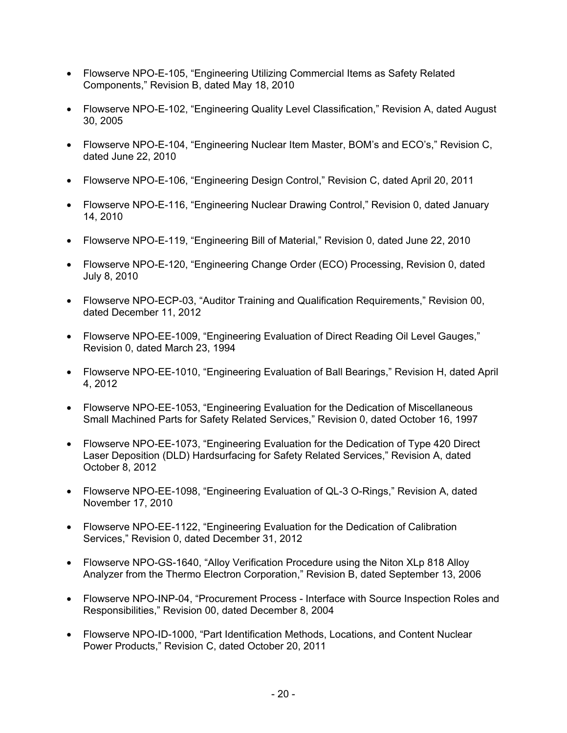- Flowserve NPO-E-105, "Engineering Utilizing Commercial Items as Safety Related Components," Revision B, dated May 18, 2010
- Flowserve NPO-E-102, "Engineering Quality Level Classification," Revision A, dated August 30, 2005
- Flowserve NPO-E-104, "Engineering Nuclear Item Master, BOM's and ECO's," Revision C, dated June 22, 2010
- Flowserve NPO-E-106, "Engineering Design Control," Revision C, dated April 20, 2011
- Flowserve NPO-E-116, "Engineering Nuclear Drawing Control," Revision 0, dated January 14, 2010
- Flowserve NPO-E-119, "Engineering Bill of Material," Revision 0, dated June 22, 2010
- Flowserve NPO-E-120, "Engineering Change Order (ECO) Processing, Revision 0, dated July 8, 2010
- Flowserve NPO-ECP-03, "Auditor Training and Qualification Requirements," Revision 00, dated December 11, 2012
- Flowserve NPO-EE-1009, "Engineering Evaluation of Direct Reading Oil Level Gauges," Revision 0, dated March 23, 1994
- Flowserve NPO-EE-1010, "Engineering Evaluation of Ball Bearings," Revision H, dated April 4, 2012
- Flowserve NPO-EE-1053, "Engineering Evaluation for the Dedication of Miscellaneous Small Machined Parts for Safety Related Services," Revision 0, dated October 16, 1997
- Flowserve NPO-EE-1073, "Engineering Evaluation for the Dedication of Type 420 Direct Laser Deposition (DLD) Hardsurfacing for Safety Related Services," Revision A, dated October 8, 2012
- Flowserve NPO-EE-1098, "Engineering Evaluation of QL-3 O-Rings," Revision A, dated November 17, 2010
- Flowserve NPO-EE-1122, "Engineering Evaluation for the Dedication of Calibration Services," Revision 0, dated December 31, 2012
- Flowserve NPO-GS-1640, "Alloy Verification Procedure using the Niton XLp 818 Alloy Analyzer from the Thermo Electron Corporation," Revision B, dated September 13, 2006
- Flowserve NPO-INP-04, "Procurement Process Interface with Source Inspection Roles and Responsibilities," Revision 00, dated December 8, 2004
- Flowserve NPO-ID-1000, "Part Identification Methods, Locations, and Content Nuclear Power Products," Revision C, dated October 20, 2011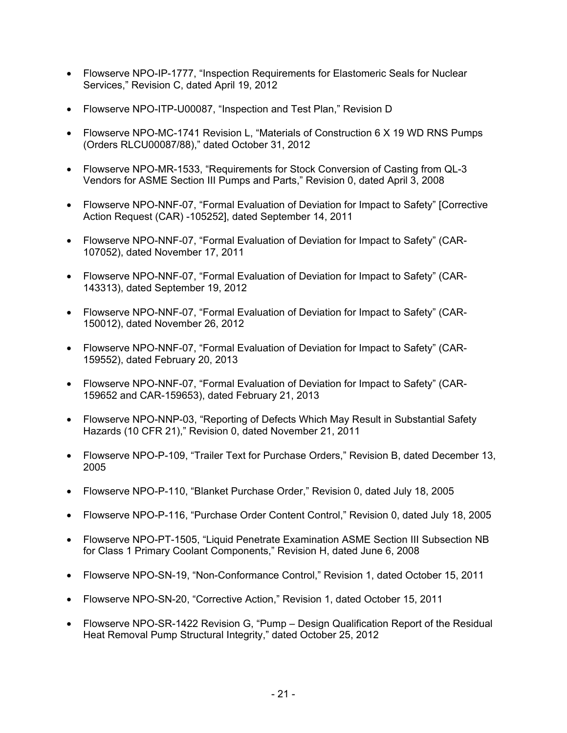- Flowserve NPO-IP-1777, "Inspection Requirements for Elastomeric Seals for Nuclear Services," Revision C, dated April 19, 2012
- Flowserve NPO-ITP-U00087, "Inspection and Test Plan," Revision D
- Flowserve NPO-MC-1741 Revision L, "Materials of Construction 6 X 19 WD RNS Pumps (Orders RLCU00087/88)," dated October 31, 2012
- Flowserve NPO-MR-1533, "Requirements for Stock Conversion of Casting from QL-3 Vendors for ASME Section III Pumps and Parts," Revision 0, dated April 3, 2008
- Flowserve NPO-NNF-07, "Formal Evaluation of Deviation for Impact to Safety" [Corrective Action Request (CAR) -105252], dated September 14, 2011
- Flowserve NPO-NNF-07, "Formal Evaluation of Deviation for Impact to Safety" (CAR-107052), dated November 17, 2011
- Flowserve NPO-NNF-07, "Formal Evaluation of Deviation for Impact to Safety" (CAR-143313), dated September 19, 2012
- Flowserve NPO-NNF-07, "Formal Evaluation of Deviation for Impact to Safety" (CAR-150012), dated November 26, 2012
- Flowserve NPO-NNF-07, "Formal Evaluation of Deviation for Impact to Safety" (CAR-159552), dated February 20, 2013
- Flowserve NPO-NNF-07, "Formal Evaluation of Deviation for Impact to Safety" (CAR-159652 and CAR-159653), dated February 21, 2013
- Flowserve NPO-NNP-03, "Reporting of Defects Which May Result in Substantial Safety Hazards (10 CFR 21)," Revision 0, dated November 21, 2011
- Flowserve NPO-P-109, "Trailer Text for Purchase Orders," Revision B, dated December 13, 2005
- Flowserve NPO-P-110, "Blanket Purchase Order," Revision 0, dated July 18, 2005
- Flowserve NPO-P-116, "Purchase Order Content Control," Revision 0, dated July 18, 2005
- Flowserve NPO-PT-1505, "Liquid Penetrate Examination ASME Section III Subsection NB for Class 1 Primary Coolant Components," Revision H, dated June 6, 2008
- Flowserve NPO-SN-19, "Non-Conformance Control," Revision 1, dated October 15, 2011
- Flowserve NPO-SN-20, "Corrective Action," Revision 1, dated October 15, 2011
- Flowserve NPO-SR-1422 Revision G, "Pump Design Qualification Report of the Residual Heat Removal Pump Structural Integrity," dated October 25, 2012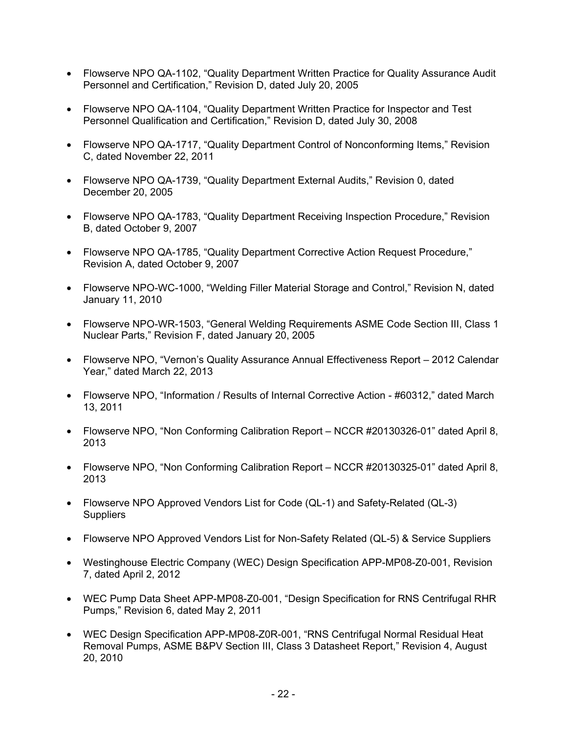- Flowserve NPO QA-1102, "Quality Department Written Practice for Quality Assurance Audit Personnel and Certification," Revision D, dated July 20, 2005
- Flowserve NPO QA-1104, "Quality Department Written Practice for Inspector and Test Personnel Qualification and Certification," Revision D, dated July 30, 2008
- Flowserve NPO QA-1717, "Quality Department Control of Nonconforming Items," Revision C, dated November 22, 2011
- Flowserve NPO QA-1739, "Quality Department External Audits," Revision 0, dated December 20, 2005
- Flowserve NPO QA-1783, "Quality Department Receiving Inspection Procedure," Revision B, dated October 9, 2007
- Flowserve NPO QA-1785, "Quality Department Corrective Action Request Procedure," Revision A, dated October 9, 2007
- Flowserve NPO-WC-1000, "Welding Filler Material Storage and Control," Revision N, dated January 11, 2010
- Flowserve NPO-WR-1503, "General Welding Requirements ASME Code Section III, Class 1 Nuclear Parts," Revision F, dated January 20, 2005
- Flowserve NPO, "Vernon's Quality Assurance Annual Effectiveness Report 2012 Calendar Year," dated March 22, 2013
- Flowserve NPO, "Information / Results of Internal Corrective Action #60312," dated March 13, 2011
- Flowserve NPO, "Non Conforming Calibration Report NCCR #20130326-01" dated April 8, 2013
- Flowserve NPO, "Non Conforming Calibration Report NCCR #20130325-01" dated April 8, 2013
- Flowserve NPO Approved Vendors List for Code (QL-1) and Safety-Related (QL-3) **Suppliers**
- Flowserve NPO Approved Vendors List for Non-Safety Related (QL-5) & Service Suppliers
- Westinghouse Electric Company (WEC) Design Specification APP-MP08-Z0-001, Revision 7, dated April 2, 2012
- WEC Pump Data Sheet APP-MP08-Z0-001, "Design Specification for RNS Centrifugal RHR Pumps," Revision 6, dated May 2, 2011
- WEC Design Specification APP-MP08-Z0R-001, "RNS Centrifugal Normal Residual Heat Removal Pumps, ASME B&PV Section III, Class 3 Datasheet Report," Revision 4, August 20, 2010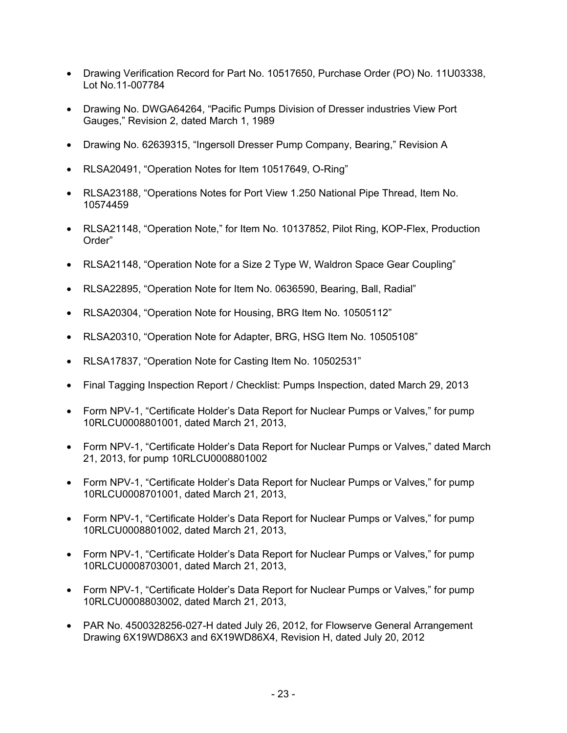- Drawing Verification Record for Part No. 10517650, Purchase Order (PO) No. 11U03338, Lot No.11-007784
- Drawing No. DWGA64264, "Pacific Pumps Division of Dresser industries View Port Gauges," Revision 2, dated March 1, 1989
- Drawing No. 62639315, "Ingersoll Dresser Pump Company, Bearing," Revision A
- RLSA20491, "Operation Notes for Item 10517649, O-Ring"
- RLSA23188, "Operations Notes for Port View 1.250 National Pipe Thread, Item No. 10574459
- RLSA21148, "Operation Note," for Item No. 10137852, Pilot Ring, KOP-Flex, Production Order"
- RLSA21148, "Operation Note for a Size 2 Type W, Waldron Space Gear Coupling"
- RLSA22895, "Operation Note for Item No. 0636590, Bearing, Ball, Radial"
- RLSA20304, "Operation Note for Housing, BRG Item No. 10505112"
- RLSA20310, "Operation Note for Adapter, BRG, HSG Item No. 10505108"
- RLSA17837, "Operation Note for Casting Item No. 10502531"
- Final Tagging Inspection Report / Checklist: Pumps Inspection, dated March 29, 2013
- Form NPV-1, "Certificate Holder's Data Report for Nuclear Pumps or Valves," for pump 10RLCU0008801001, dated March 21, 2013,
- Form NPV-1, "Certificate Holder's Data Report for Nuclear Pumps or Valves," dated March 21, 2013, for pump 10RLCU0008801002
- Form NPV-1, "Certificate Holder's Data Report for Nuclear Pumps or Valves," for pump 10RLCU0008701001, dated March 21, 2013,
- Form NPV-1, "Certificate Holder's Data Report for Nuclear Pumps or Valves," for pump 10RLCU0008801002, dated March 21, 2013,
- Form NPV-1, "Certificate Holder's Data Report for Nuclear Pumps or Valves," for pump 10RLCU0008703001, dated March 21, 2013,
- Form NPV-1, "Certificate Holder's Data Report for Nuclear Pumps or Valves," for pump 10RLCU0008803002, dated March 21, 2013,
- PAR No. 4500328256-027-H dated July 26, 2012, for Flowserve General Arrangement Drawing 6X19WD86X3 and 6X19WD86X4, Revision H, dated July 20, 2012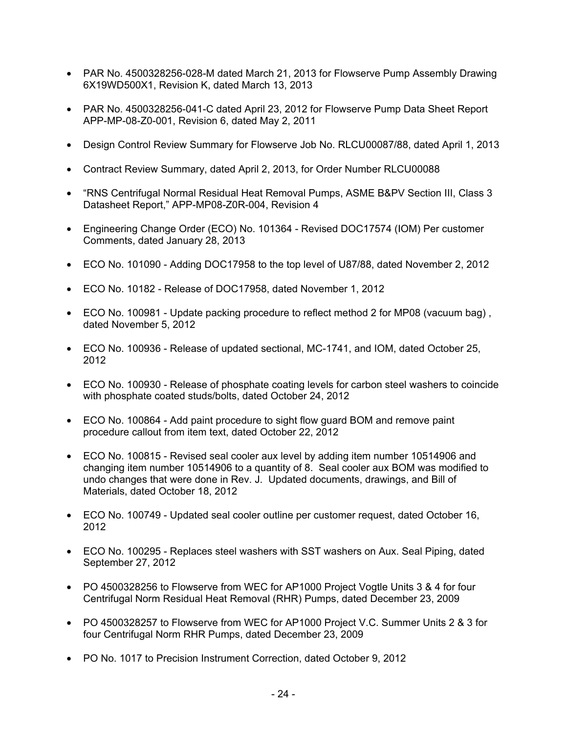- PAR No. 4500328256-028-M dated March 21, 2013 for Flowserve Pump Assembly Drawing 6X19WD500X1, Revision K, dated March 13, 2013
- PAR No. 4500328256-041-C dated April 23, 2012 for Flowserve Pump Data Sheet Report APP-MP-08-Z0-001, Revision 6, dated May 2, 2011
- Design Control Review Summary for Flowserve Job No. RLCU00087/88, dated April 1, 2013
- Contract Review Summary, dated April 2, 2013, for Order Number RLCU00088
- "RNS Centrifugal Normal Residual Heat Removal Pumps, ASME B&PV Section III, Class 3 Datasheet Report," APP-MP08-Z0R-004, Revision 4
- Engineering Change Order (ECO) No. 101364 Revised DOC17574 (IOM) Per customer Comments, dated January 28, 2013
- ECO No. 101090 Adding DOC17958 to the top level of U87/88, dated November 2, 2012
- ECO No. 10182 Release of DOC17958, dated November 1, 2012
- ECO No. 100981 Update packing procedure to reflect method 2 for MP08 (vacuum bag) , dated November 5, 2012
- ECO No. 100936 Release of updated sectional, MC-1741, and IOM, dated October 25, 2012
- ECO No. 100930 Release of phosphate coating levels for carbon steel washers to coincide with phosphate coated studs/bolts, dated October 24, 2012
- ECO No. 100864 Add paint procedure to sight flow guard BOM and remove paint procedure callout from item text, dated October 22, 2012
- ECO No. 100815 Revised seal cooler aux level by adding item number 10514906 and changing item number 10514906 to a quantity of 8. Seal cooler aux BOM was modified to undo changes that were done in Rev. J. Updated documents, drawings, and Bill of Materials, dated October 18, 2012
- ECO No. 100749 Updated seal cooler outline per customer request, dated October 16, 2012
- ECO No. 100295 Replaces steel washers with SST washers on Aux. Seal Piping, dated September 27, 2012
- PO 4500328256 to Flowserve from WEC for AP1000 Project Vogtle Units 3 & 4 for four Centrifugal Norm Residual Heat Removal (RHR) Pumps, dated December 23, 2009
- PO 4500328257 to Flowserve from WEC for AP1000 Project V.C. Summer Units 2 & 3 for four Centrifugal Norm RHR Pumps, dated December 23, 2009
- PO No. 1017 to Precision Instrument Correction, dated October 9, 2012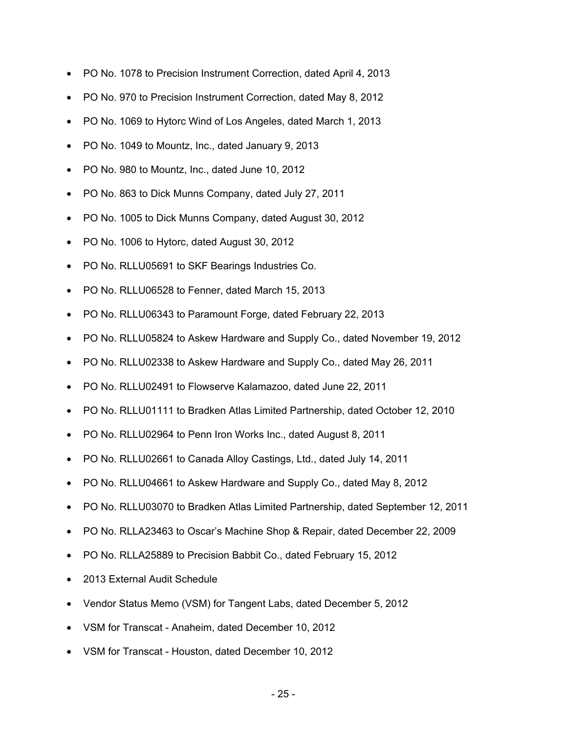- PO No. 1078 to Precision Instrument Correction, dated April 4, 2013
- PO No. 970 to Precision Instrument Correction, dated May 8, 2012
- PO No. 1069 to Hytorc Wind of Los Angeles, dated March 1, 2013
- PO No. 1049 to Mountz, Inc., dated January 9, 2013
- PO No. 980 to Mountz, Inc., dated June 10, 2012
- PO No. 863 to Dick Munns Company, dated July 27, 2011
- PO No. 1005 to Dick Munns Company, dated August 30, 2012
- PO No. 1006 to Hytorc, dated August 30, 2012
- PO No. RLLU05691 to SKF Bearings Industries Co.
- PO No. RLLU06528 to Fenner, dated March 15, 2013
- PO No. RLLU06343 to Paramount Forge, dated February 22, 2013
- PO No. RLLU05824 to Askew Hardware and Supply Co., dated November 19, 2012
- PO No. RLLU02338 to Askew Hardware and Supply Co., dated May 26, 2011
- PO No. RLLU02491 to Flowserve Kalamazoo, dated June 22, 2011
- PO No. RLLU01111 to Bradken Atlas Limited Partnership, dated October 12, 2010
- PO No. RLLU02964 to Penn Iron Works Inc., dated August 8, 2011
- PO No. RLLU02661 to Canada Alloy Castings, Ltd., dated July 14, 2011
- PO No. RLLU04661 to Askew Hardware and Supply Co., dated May 8, 2012
- PO No. RLLU03070 to Bradken Atlas Limited Partnership, dated September 12, 2011
- PO No. RLLA23463 to Oscar's Machine Shop & Repair, dated December 22, 2009
- PO No. RLLA25889 to Precision Babbit Co., dated February 15, 2012
- 2013 External Audit Schedule
- Vendor Status Memo (VSM) for Tangent Labs, dated December 5, 2012
- VSM for Transcat Anaheim, dated December 10, 2012
- VSM for Transcat Houston, dated December 10, 2012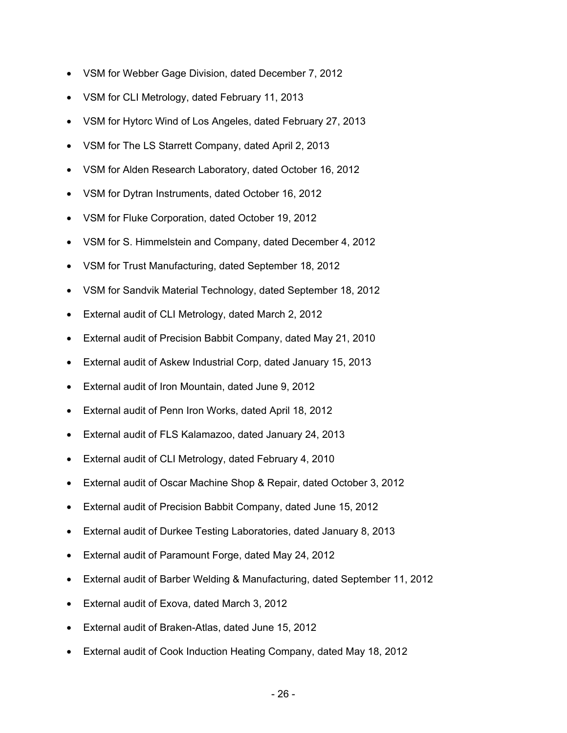- VSM for Webber Gage Division, dated December 7, 2012
- VSM for CLI Metrology, dated February 11, 2013
- VSM for Hytorc Wind of Los Angeles, dated February 27, 2013
- VSM for The LS Starrett Company, dated April 2, 2013
- VSM for Alden Research Laboratory, dated October 16, 2012
- VSM for Dytran Instruments, dated October 16, 2012
- VSM for Fluke Corporation, dated October 19, 2012
- VSM for S. Himmelstein and Company, dated December 4, 2012
- VSM for Trust Manufacturing, dated September 18, 2012
- VSM for Sandvik Material Technology, dated September 18, 2012
- External audit of CLI Metrology, dated March 2, 2012
- External audit of Precision Babbit Company, dated May 21, 2010
- External audit of Askew Industrial Corp, dated January 15, 2013
- External audit of Iron Mountain, dated June 9, 2012
- External audit of Penn Iron Works, dated April 18, 2012
- External audit of FLS Kalamazoo, dated January 24, 2013
- External audit of CLI Metrology, dated February 4, 2010
- External audit of Oscar Machine Shop & Repair, dated October 3, 2012
- External audit of Precision Babbit Company, dated June 15, 2012
- External audit of Durkee Testing Laboratories, dated January 8, 2013
- External audit of Paramount Forge, dated May 24, 2012
- External audit of Barber Welding & Manufacturing, dated September 11, 2012
- External audit of Exova, dated March 3, 2012
- External audit of Braken-Atlas, dated June 15, 2012
- External audit of Cook Induction Heating Company, dated May 18, 2012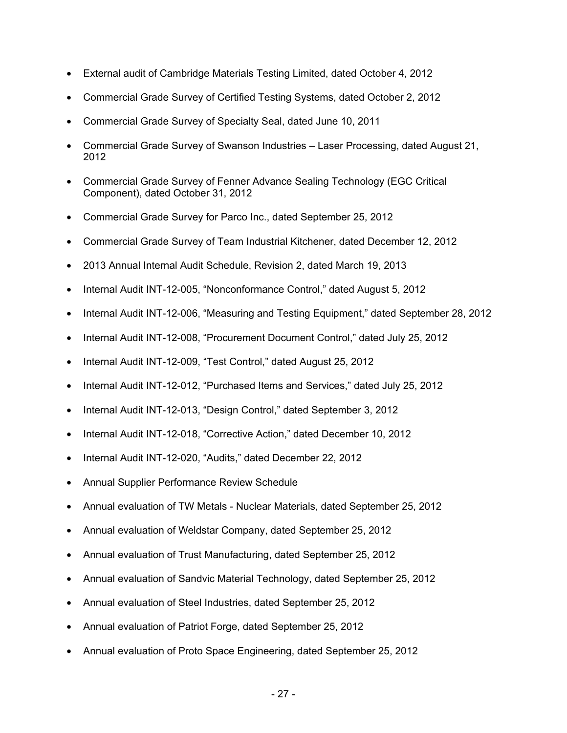- External audit of Cambridge Materials Testing Limited, dated October 4, 2012
- Commercial Grade Survey of Certified Testing Systems, dated October 2, 2012
- Commercial Grade Survey of Specialty Seal, dated June 10, 2011
- Commercial Grade Survey of Swanson Industries Laser Processing, dated August 21, 2012
- Commercial Grade Survey of Fenner Advance Sealing Technology (EGC Critical Component), dated October 31, 2012
- Commercial Grade Survey for Parco Inc., dated September 25, 2012
- Commercial Grade Survey of Team Industrial Kitchener, dated December 12, 2012
- 2013 Annual Internal Audit Schedule, Revision 2, dated March 19, 2013
- Internal Audit INT-12-005, "Nonconformance Control," dated August 5, 2012
- Internal Audit INT-12-006, "Measuring and Testing Equipment," dated September 28, 2012
- Internal Audit INT-12-008, "Procurement Document Control," dated July 25, 2012
- Internal Audit INT-12-009, "Test Control," dated August 25, 2012
- Internal Audit INT-12-012, "Purchased Items and Services," dated July 25, 2012
- Internal Audit INT-12-013, "Design Control," dated September 3, 2012
- Internal Audit INT-12-018, "Corrective Action," dated December 10, 2012
- Internal Audit INT-12-020, "Audits," dated December 22, 2012
- Annual Supplier Performance Review Schedule
- Annual evaluation of TW Metals Nuclear Materials, dated September 25, 2012
- Annual evaluation of Weldstar Company, dated September 25, 2012
- Annual evaluation of Trust Manufacturing, dated September 25, 2012
- Annual evaluation of Sandvic Material Technology, dated September 25, 2012
- Annual evaluation of Steel Industries, dated September 25, 2012
- Annual evaluation of Patriot Forge, dated September 25, 2012
- Annual evaluation of Proto Space Engineering, dated September 25, 2012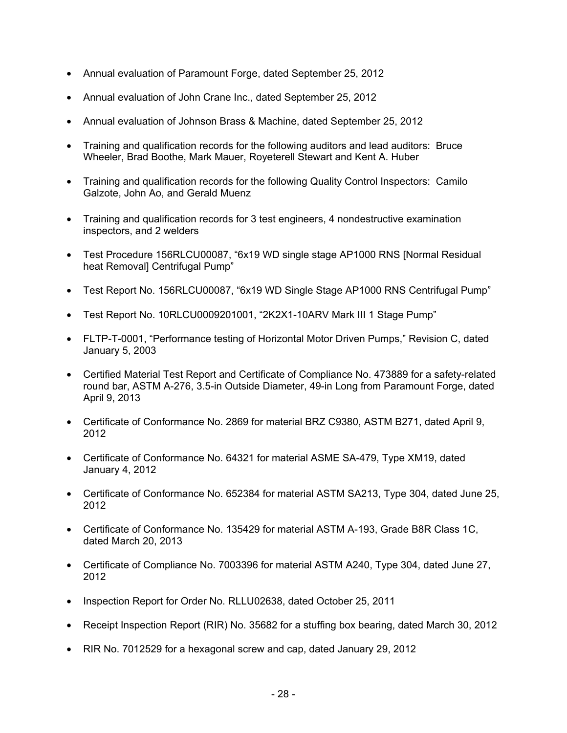- Annual evaluation of Paramount Forge, dated September 25, 2012
- Annual evaluation of John Crane Inc., dated September 25, 2012
- Annual evaluation of Johnson Brass & Machine, dated September 25, 2012
- Training and qualification records for the following auditors and lead auditors: Bruce Wheeler, Brad Boothe, Mark Mauer, Royeterell Stewart and Kent A. Huber
- Training and qualification records for the following Quality Control Inspectors: Camilo Galzote, John Ao, and Gerald Muenz
- Training and qualification records for 3 test engineers, 4 nondestructive examination inspectors, and 2 welders
- Test Procedure 156RLCU00087, "6x19 WD single stage AP1000 RNS [Normal Residual heat Removal] Centrifugal Pump"
- Test Report No. 156RLCU00087, "6x19 WD Single Stage AP1000 RNS Centrifugal Pump"
- Test Report No. 10RLCU0009201001, "2K2X1-10ARV Mark III 1 Stage Pump"
- FLTP-T-0001, "Performance testing of Horizontal Motor Driven Pumps," Revision C, dated January 5, 2003
- Certified Material Test Report and Certificate of Compliance No. 473889 for a safety-related round bar, ASTM A-276, 3.5-in Outside Diameter, 49-in Long from Paramount Forge, dated April 9, 2013
- Certificate of Conformance No. 2869 for material BRZ C9380, ASTM B271, dated April 9, 2012
- Certificate of Conformance No. 64321 for material ASME SA-479, Type XM19, dated January 4, 2012
- Certificate of Conformance No. 652384 for material ASTM SA213, Type 304, dated June 25, 2012
- Certificate of Conformance No. 135429 for material ASTM A-193, Grade B8R Class 1C, dated March 20, 2013
- Certificate of Compliance No. 7003396 for material ASTM A240, Type 304, dated June 27, 2012
- Inspection Report for Order No. RLLU02638, dated October 25, 2011
- Receipt Inspection Report (RIR) No. 35682 for a stuffing box bearing, dated March 30, 2012
- RIR No. 7012529 for a hexagonal screw and cap, dated January 29, 2012